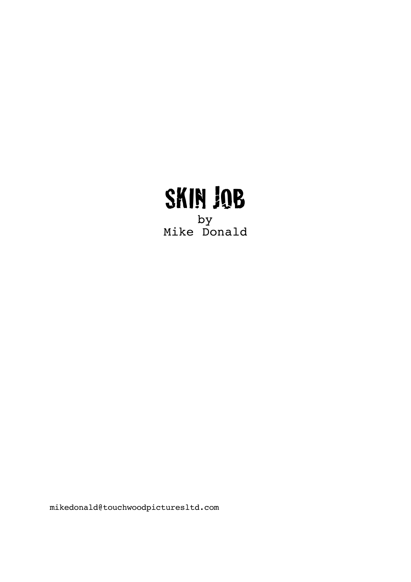

by Mike Donald

mikedonald@touchwoodpicturesltd.com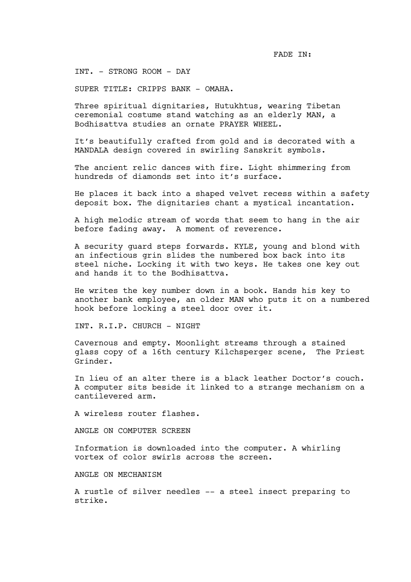FADE IN:

INT. - STRONG ROOM - DAY

SUPER TITLE: CRIPPS BANK - OMAHA.

Three spiritual dignitaries, Hutukhtus, wearing Tibetan ceremonial costume stand watching as an elderly MAN, a Bodhisattva studies an ornate PRAYER WHEEL.

It's beautifully crafted from gold and is decorated with a MANDALA design covered in swirling Sanskrit symbols.

The ancient relic dances with fire. Light shimmering from hundreds of diamonds set into it's surface.

He places it back into a shaped velvet recess within a safety deposit box. The dignitaries chant a mystical incantation.

A high melodic stream of words that seem to hang in the air before fading away. A moment of reverence.

A security guard steps forwards. KYLE, young and blond with an infectious grin slides the numbered box back into its steel niche. Locking it with two keys. He takes one key out and hands it to the Bodhisattva.

He writes the key number down in a book. Hands his key to another bank employee, an older MAN who puts it on a numbered hook before locking a steel door over it.

INT. R.I.P. CHURCH - NIGHT

Cavernous and empty. Moonlight streams through a stained glass copy of a 16th century Kilchsperger scene, The Priest Grinder.

In lieu of an alter there is a black leather Doctor's couch. A computer sits beside it linked to a strange mechanism on a cantilevered arm.

A wireless router flashes.

ANGLE ON COMPUTER SCREEN

Information is downloaded into the computer. A whirling vortex of color swirls across the screen.

ANGLE ON MECHANISM

A rustle of silver needles -- a steel insect preparing to strike.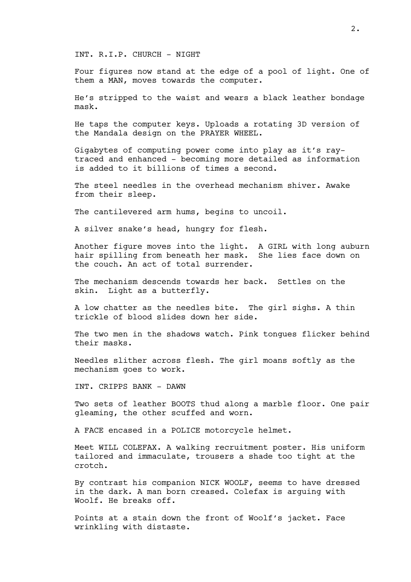INT. R.I.P. CHURCH - NIGHT

Four figures now stand at the edge of a pool of light. One of them a MAN, moves towards the computer.

He's stripped to the waist and wears a black leather bondage mask.

He taps the computer keys. Uploads a rotating 3D version of the Mandala design on the PRAYER WHEEL.

Gigabytes of computing power come into play as it's raytraced and enhanced - becoming more detailed as information is added to it billions of times a second.

The steel needles in the overhead mechanism shiver. Awake from their sleep.

The cantilevered arm hums, begins to uncoil.

A silver snake's head, hungry for flesh.

Another figure moves into the light. A GIRL with long auburn hair spilling from beneath her mask. She lies face down on the couch. An act of total surrender.

The mechanism descends towards her back. Settles on the skin. Light as a butterfly.

A low chatter as the needles bite. The girl sighs. A thin trickle of blood slides down her side.

The two men in the shadows watch. Pink tongues flicker behind their masks.

Needles slither across flesh. The girl moans softly as the mechanism goes to work.

INT. CRIPPS BANK - DAWN

Two sets of leather BOOTS thud along a marble floor. One pair gleaming, the other scuffed and worn.

A FACE encased in a POLICE motorcycle helmet.

Meet WILL COLEFAX. A walking recruitment poster. His uniform tailored and immaculate, trousers a shade too tight at the crotch.

By contrast his companion NICK WOOLF, seems to have dressed in the dark. A man born creased. Colefax is arguing with Woolf. He breaks off.

Points at a stain down the front of Woolf's jacket. Face wrinkling with distaste.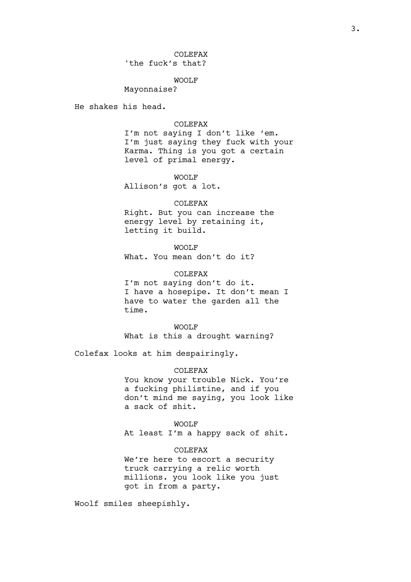# WOOLF

Mayonnaise?

He shakes his head.

#### COLEFAX

I'm not saying I don't like 'em. I'm just saying they fuck with your Karma. Thing is you got a certain level of primal energy.

## WOOLF

Allison's got a lot.

#### COLEFAX

Right. But you can increase the energy level by retaining it, letting it build.

WOOLF What. You mean don't do it?

COLEFAX I'm not saying don't do it. I have a hosepipe. It don't mean I have to water the garden all the time.

## WOOLF

What is this a drought warning?

Colefax looks at him despairingly.

### COLEFAX

You know your trouble Nick. You're a fucking philistine, and if you don't mind me saying, you look like a sack of shit.

### WOOLF

At least I'm a happy sack of shit.

COLEFAX

We're here to escort a security truck carrying a relic worth millions. you look like you just got in from a party.

Woolf smiles sheepishly.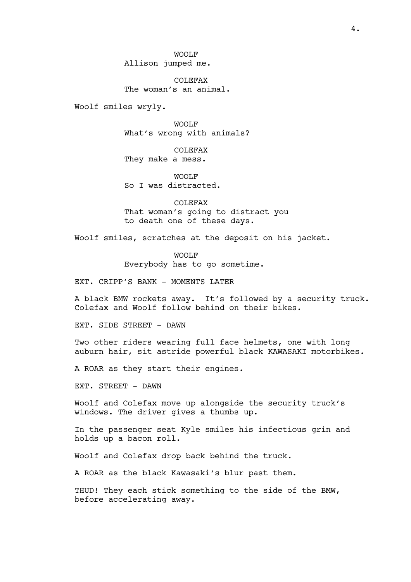WOOLF Allison jumped me.

COLEFAX The woman's an animal.

Woolf smiles wryly.

WOOLF What's wrong with animals?

COLEFAX They make a mess.

WOOLF So I was distracted.

COLEFAX That woman's going to distract you to death one of these days.

Woolf smiles, scratches at the deposit on his jacket.

WOOLF Everybody has to go sometime.

EXT. CRIPP'S BANK - MOMENTS LATER

A black BMW rockets away. It's followed by a security truck. Colefax and Woolf follow behind on their bikes.

EXT. SIDE STREET - DAWN

Two other riders wearing full face helmets, one with long auburn hair, sit astride powerful black KAWASAKI motorbikes.

A ROAR as they start their engines.

EXT. STREET - DAWN

Woolf and Colefax move up alongside the security truck's windows. The driver gives a thumbs up.

In the passenger seat Kyle smiles his infectious grin and holds up a bacon roll.

Woolf and Colefax drop back behind the truck.

A ROAR as the black Kawasaki's blur past them.

THUD! They each stick something to the side of the BMW, before accelerating away.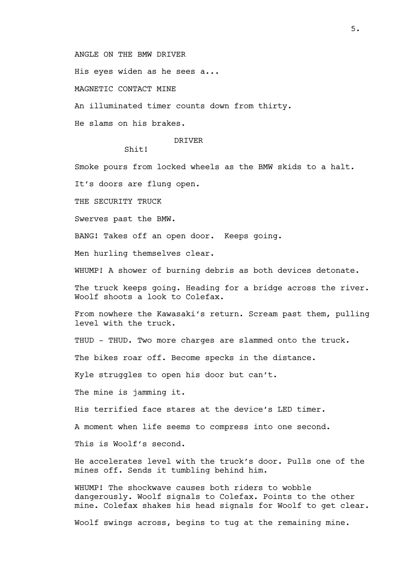ANGLE ON THE BMW DRIVER

His eyes widen as he sees a...

MAGNETIC CONTACT MINE

An illuminated timer counts down from thirty.

He slams on his brakes.

## DRIVER

 $Shit!$ 

Smoke pours from locked wheels as the BMW skids to a halt.

It's doors are flung open.

THE SECURITY TRUCK

Swerves past the BMW.

BANG! Takes off an open door. Keeps going.

Men hurling themselves clear.

WHUMP! A shower of burning debris as both devices detonate.

The truck keeps going. Heading for a bridge across the river. Woolf shoots a look to Colefax.

From nowhere the Kawasaki's return. Scream past them, pulling level with the truck.

THUD - THUD. Two more charges are slammed onto the truck.

The bikes roar off. Become specks in the distance.

Kyle struggles to open his door but can't.

The mine is jamming it.

His terrified face stares at the device's LED timer.

A moment when life seems to compress into one second.

This is Woolf's second.

He accelerates level with the truck's door. Pulls one of the mines off. Sends it tumbling behind him.

WHUMP! The shockwave causes both riders to wobble dangerously. Woolf signals to Colefax. Points to the other mine. Colefax shakes his head signals for Woolf to get clear.

Woolf swings across, begins to tug at the remaining mine.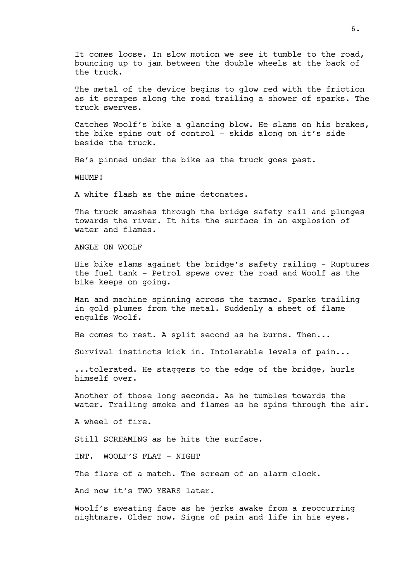It comes loose. In slow motion we see it tumble to the road, bouncing up to jam between the double wheels at the back of the truck.

The metal of the device begins to glow red with the friction as it scrapes along the road trailing a shower of sparks. The truck swerves.

Catches Woolf's bike a glancing blow. He slams on his brakes, the bike spins out of control - skids along on it's side beside the truck.

He's pinned under the bike as the truck goes past.

WHUMP!

A white flash as the mine detonates.

The truck smashes through the bridge safety rail and plunges towards the river. It hits the surface in an explosion of water and flames.

ANGLE ON WOOLF

His bike slams against the bridge's safety railing - Ruptures the fuel tank - Petrol spews over the road and Woolf as the bike keeps on going.

Man and machine spinning across the tarmac. Sparks trailing in gold plumes from the metal. Suddenly a sheet of flame engulfs Woolf.

He comes to rest. A split second as he burns. Then...

Survival instincts kick in. Intolerable levels of pain...

...tolerated. He staggers to the edge of the bridge, hurls himself over.

Another of those long seconds. As he tumbles towards the water. Trailing smoke and flames as he spins through the air.

A wheel of fire.

Still SCREAMING as he hits the surface.

INT. WOOLF'S FLAT - NIGHT

The flare of a match. The scream of an alarm clock.

And now it's TWO YEARS later.

Woolf's sweating face as he jerks awake from a reoccurring nightmare. Older now. Signs of pain and life in his eyes.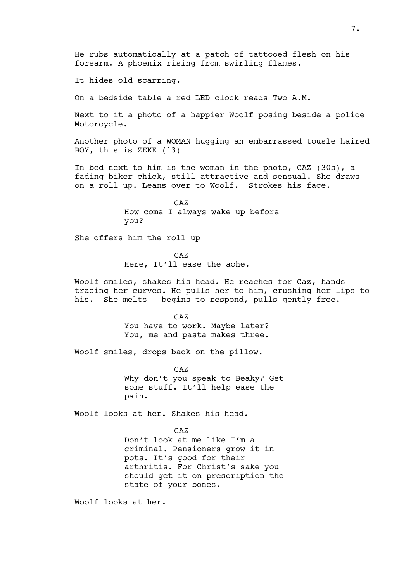It hides old scarring.

On a bedside table a red LED clock reads Two A.M.

Next to it a photo of a happier Woolf posing beside a police Motorcycle.

Another photo of a WOMAN hugging an embarrassed tousle haired BOY, this is ZEKE (13)

In bed next to him is the woman in the photo, CAZ (30s), a fading biker chick, still attractive and sensual. She draws on a roll up. Leans over to Woolf. Strokes his face.

> CAZ How come I always wake up before you?

She offers him the roll up

CAZ Here, It'll ease the ache.

Woolf smiles, shakes his head. He reaches for Caz, hands tracing her curves. He pulls her to him, crushing her lips to his. She melts - begins to respond, pulls gently free.

> CAZ You have to work. Maybe later? You, me and pasta makes three.

Woolf smiles, drops back on the pillow.

CAZ Why don't you speak to Beaky? Get some stuff. It'll help ease the pain.

Woolf looks at her. Shakes his head.

CAZ Don't look at me like I'm a criminal. Pensioners grow it in pots. It's good for their arthritis. For Christ's sake you should get it on prescription the state of your bones.

Woolf looks at her.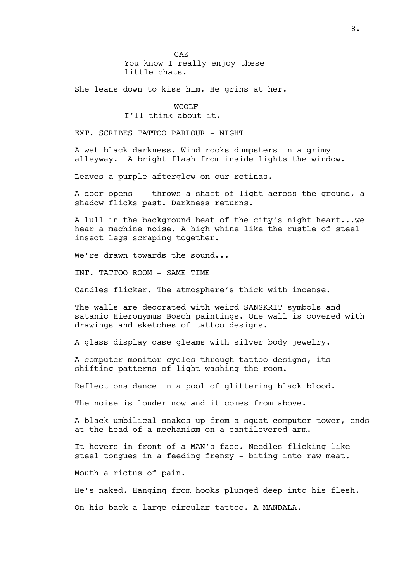CAZ You know I really enjoy these little chats.

She leans down to kiss him. He grins at her.

# WOOLF

# I'll think about it.

EXT. SCRIBES TATTOO PARLOUR - NIGHT

A wet black darkness. Wind rocks dumpsters in a grimy alleyway. A bright flash from inside lights the window.

Leaves a purple afterglow on our retinas.

A door opens -- throws a shaft of light across the ground, a shadow flicks past. Darkness returns.

A lull in the background beat of the city's night heart...we hear a machine noise. A high whine like the rustle of steel insect legs scraping together.

We're drawn towards the sound...

INT. TATTOO ROOM - SAME TIME

Candles flicker. The atmosphere's thick with incense.

The walls are decorated with weird SANSKRIT symbols and satanic Hieronymus Bosch paintings. One wall is covered with drawings and sketches of tattoo designs.

A glass display case gleams with silver body jewelry.

A computer monitor cycles through tattoo designs, its shifting patterns of light washing the room.

Reflections dance in a pool of glittering black blood.

The noise is louder now and it comes from above.

A black umbilical snakes up from a squat computer tower, ends at the head of a mechanism on a cantilevered arm.

It hovers in front of a MAN's face. Needles flicking like steel tongues in a feeding frenzy - biting into raw meat.

Mouth a rictus of pain.

He's naked. Hanging from hooks plunged deep into his flesh.

On his back a large circular tattoo. A MANDALA.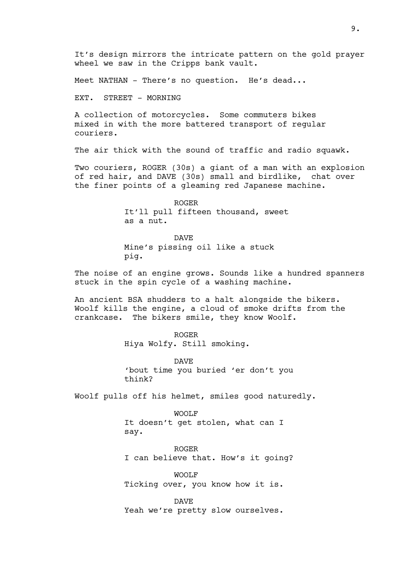It's design mirrors the intricate pattern on the gold prayer wheel we saw in the Cripps bank vault.

Meet NATHAN - There's no question. He's dead...

EXT. STREET - MORNING

A collection of motorcycles. Some commuters bikes mixed in with the more battered transport of regular couriers.

The air thick with the sound of traffic and radio squawk.

Two couriers, ROGER (30s) a giant of a man with an explosion of red hair, and DAVE (30s) small and birdlike, chat over the finer points of a gleaming red Japanese machine.

> ROGER It'll pull fifteen thousand, sweet as a nut.

DAVE Mine's pissing oil like a stuck pig.

The noise of an engine grows. Sounds like a hundred spanners stuck in the spin cycle of a washing machine.

An ancient BSA shudders to a halt alongside the bikers. Woolf kills the engine, a cloud of smoke drifts from the crankcase. The bikers smile, they know Woolf.

> ROGER Hiya Wolfy. Still smoking.

DAVE 'bout time you buried 'er don't you think?

Woolf pulls off his helmet, smiles good naturedly.

WOOLF It doesn't get stolen, what can I say.

ROGER I can believe that. How's it going?

WOOLF Ticking over, you know how it is.

DAVE Yeah we're pretty slow ourselves.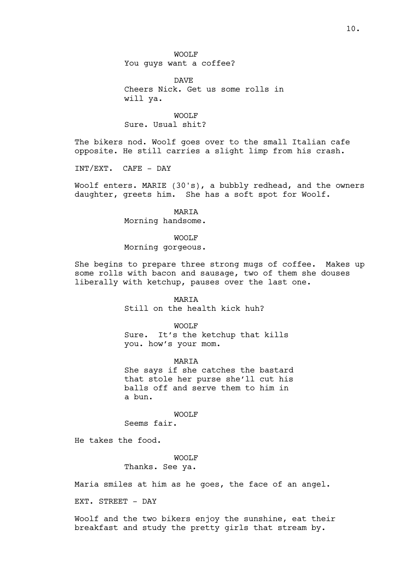DAVE Cheers Nick. Get us some rolls in will ya.

WOOLF Sure. Usual shit?

The bikers nod. Woolf goes over to the small Italian cafe opposite. He still carries a slight limp from his crash.

INT/EXT. CAFE - DAY

Woolf enters. MARIE (30's), a bubbly redhead, and the owners daughter, greets him. She has a soft spot for Woolf.

## MARIA

Morning handsome.

## WOOLF

Morning gorgeous.

She begins to prepare three strong mugs of coffee. Makes up some rolls with bacon and sausage, two of them she douses liberally with ketchup, pauses over the last one.

## MARIA

Still on the health kick huh?

#### WOOLF

Sure. It's the ketchup that kills you. how's your mom.

### MARIA

She says if she catches the bastard that stole her purse she'll cut his balls off and serve them to him in a bun.

## WOOLF

Seems fair.

He takes the food.

## WOOLF

Thanks. See ya.

Maria smiles at him as he goes, the face of an angel.

EXT. STREET - DAY

Woolf and the two bikers enjoy the sunshine, eat their breakfast and study the pretty girls that stream by.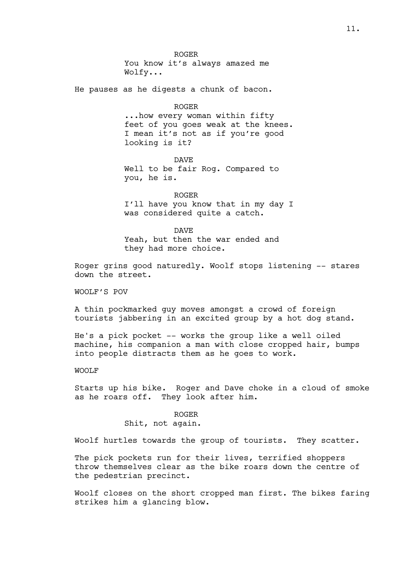ROGER You know it's always amazed me Wolfy...

He pauses as he digests a chunk of bacon.

#### ROGER

...how every woman within fifty feet of you goes weak at the knees. I mean it's not as if you're good looking is it?

DAVE Well to be fair Rog. Compared to you, he is.

ROGER I'll have you know that in my day I was considered quite a catch.

DAVE

Yeah, but then the war ended and they had more choice.

Roger grins good naturedly. Woolf stops listening -- stares down the street.

WOOLF'S POV

A thin pockmarked guy moves amongst a crowd of foreign tourists jabbering in an excited group by a hot dog stand.

He's a pick pocket -- works the group like a well oiled machine, his companion a man with close cropped hair, bumps into people distracts them as he goes to work.

## WOOLF

Starts up his bike. Roger and Dave choke in a cloud of smoke as he roars off. They look after him.

> ROGER Shit, not again.

Woolf hurtles towards the group of tourists. They scatter.

The pick pockets run for their lives, terrified shoppers throw themselves clear as the bike roars down the centre of the pedestrian precinct.

Woolf closes on the short cropped man first. The bikes faring strikes him a glancing blow.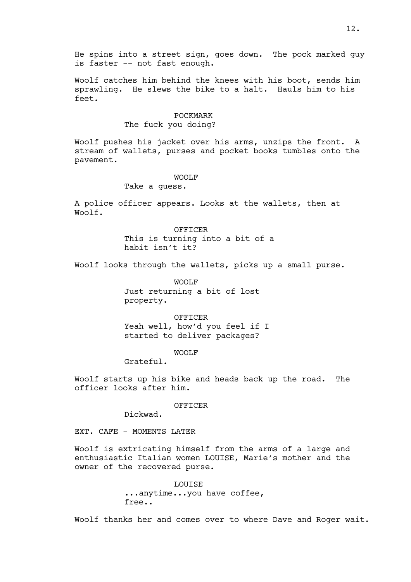He spins into a street sign, goes down. The pock marked guy is faster -- not fast enough.

Woolf catches him behind the knees with his boot, sends him sprawling. He slews the bike to a halt. Hauls him to his feet.

### POCKMARK

## The fuck you doing?

Woolf pushes his jacket over his arms, unzips the front. A stream of wallets, purses and pocket books tumbles onto the pavement.

## WOOLF

## Take a guess.

A police officer appears. Looks at the wallets, then at Woolf.

> OFFICER This is turning into a bit of a habit isn't it?

Woolf looks through the wallets, picks up a small purse.

WOOLF Just returning a bit of lost property.

OFFICER Yeah well, how'd you feel if I started to deliver packages?

WOOLF

Grateful.

Woolf starts up his bike and heads back up the road. The officer looks after him.

OFFICER

Dickwad.

EXT. CAFE - MOMENTS LATER

Woolf is extricating himself from the arms of a large and enthusiastic Italian women LOUISE, Marie's mother and the owner of the recovered purse.

> LOUISE ...anytime...you have coffee, free..

Woolf thanks her and comes over to where Dave and Roger wait.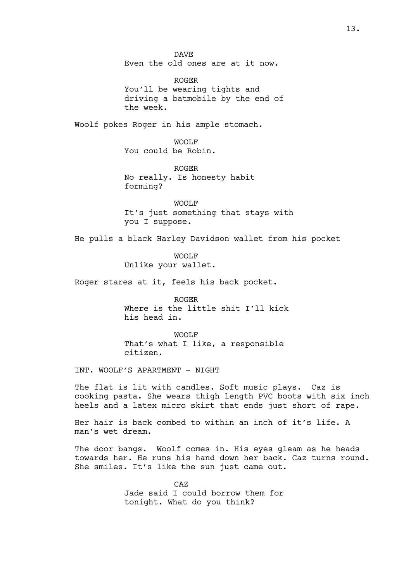DAVE Even the old ones are at it now.

ROGER You'll be wearing tights and driving a batmobile by the end of the week.

Woolf pokes Roger in his ample stomach.

WOOLF You could be Robin.

ROGER No really. Is honesty habit forming?

WOOLF It's just something that stays with you I suppose.

He pulls a black Harley Davidson wallet from his pocket

WOOLF Unlike your wallet.

Roger stares at it, feels his back pocket.

ROGER Where is the little shit I'll kick his head in.

WOOLF That's what I like, a responsible citizen.

INT. WOOLF'S APARTMENT - NIGHT

The flat is lit with candles. Soft music plays. Caz is cooking pasta. She wears thigh length PVC boots with six inch heels and a latex micro skirt that ends just short of rape.

Her hair is back combed to within an inch of it's life. A man's wet dream.

The door bangs. Woolf comes in. His eyes gleam as he heads towards her. He runs his hand down her back. Caz turns round. She smiles. It's like the sun just came out.

> CAZ Jade said I could borrow them for tonight. What do you think?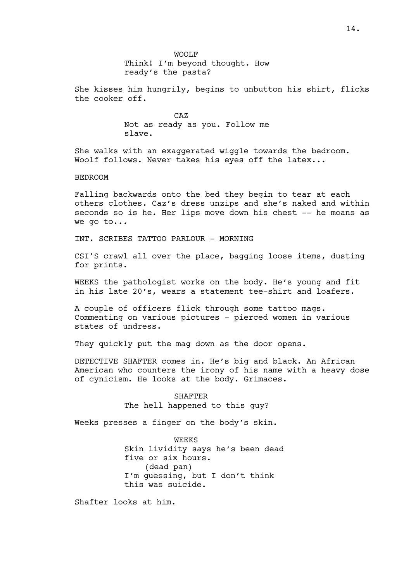She kisses him hungrily, begins to unbutton his shirt, flicks the cooker off.

> CAZ Not as ready as you. Follow me slave.

She walks with an exaggerated wiggle towards the bedroom. Woolf follows. Never takes his eyes off the latex...

## BEDROOM

Falling backwards onto the bed they begin to tear at each others clothes. Caz's dress unzips and she's naked and within seconds so is he. Her lips move down his chest -- he moans as we go to...

INT. SCRIBES TATTOO PARLOUR - MORNING

CSI'S crawl all over the place, bagging loose items, dusting for prints.

WEEKS the pathologist works on the body. He's young and fit in his late 20's, wears a statement tee-shirt and loafers.

A couple of officers flick through some tattoo mags. Commenting on various pictures - pierced women in various states of undress.

They quickly put the mag down as the door opens.

DETECTIVE SHAFTER comes in. He's big and black. An African American who counters the irony of his name with a heavy dose of cynicism. He looks at the body. Grimaces.

> SHAFTER The hell happened to this guy?

Weeks presses a finger on the body's skin.

WEEKS Skin lividity says he's been dead five or six hours. (dead pan) I'm guessing, but I don't think this was suicide.

Shafter looks at him.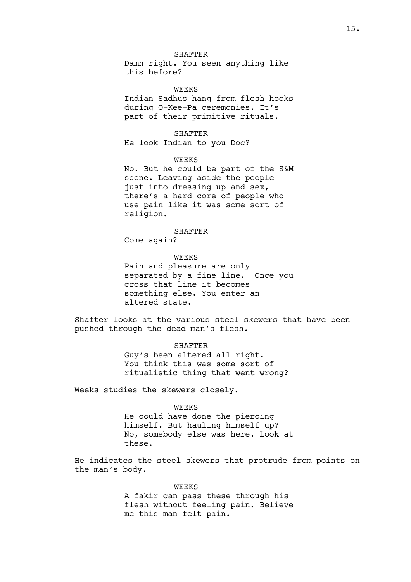#### SHAFTER

Damn right. You seen anything like this before?

WEEKS

Indian Sadhus hang from flesh hooks during O-Kee-Pa ceremonies. It's part of their primitive rituals.

SHAFTER

He look Indian to you Doc?

WEEKS

No. But he could be part of the S&M scene. Leaving aside the people just into dressing up and sex, there's a hard core of people who use pain like it was some sort of religion.

SHAFTER

Come again?

WEEKS

Pain and pleasure are only separated by a fine line. Once you cross that line it becomes something else. You enter an altered state.

Shafter looks at the various steel skewers that have been pushed through the dead man's flesh.

> SHAFTER Guy's been altered all right. You think this was some sort of ritualistic thing that went wrong?

Weeks studies the skewers closely.

#### WEEKS

He could have done the piercing himself. But hauling himself up? No, somebody else was here. Look at these.

He indicates the steel skewers that protrude from points on the man's body.

## WEEKS

A fakir can pass these through his flesh without feeling pain. Believe me this man felt pain.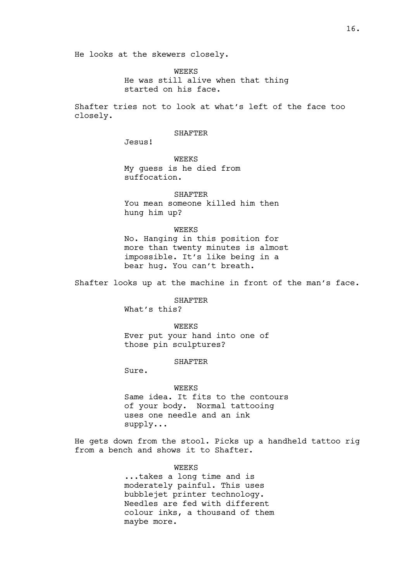He looks at the skewers closely.

WEEKS He was still alive when that thing started on his face.

Shafter tries not to look at what's left of the face too closely.

## SHAFTER

Jesus!

WEEKS My guess is he died from suffocation.

**SHAFTER** You mean someone killed him then hung him up?

WEEKS

No. Hanging in this position for more than twenty minutes is almost impossible. It's like being in a bear hug. You can't breath.

Shafter looks up at the machine in front of the man's face.

SHAFTER

What's this?

WEEKS Ever put your hand into one of those pin sculptures?

SHAFTER

Sure.

#### WEEKS

Same idea. It fits to the contours of your body. Normal tattooing uses one needle and an ink supply...

He gets down from the stool. Picks up a handheld tattoo rig from a bench and shows it to Shafter.

WEEKS

...takes a long time and is moderately painful. This uses bubblejet printer technology. Needles are fed with different colour inks, a thousand of them maybe more.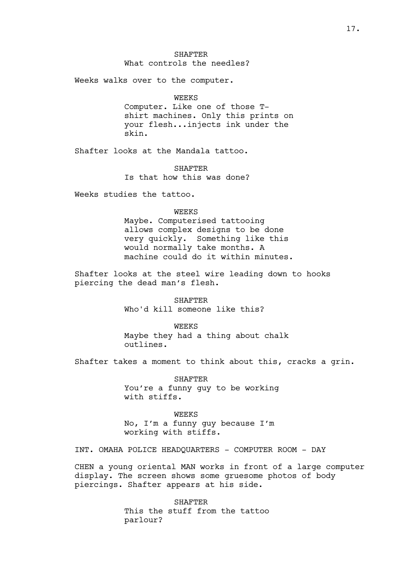SHAFTER What controls the needles?

Weeks walks over to the computer.

### WEEKS

Computer. Like one of those Tshirt machines. Only this prints on your flesh...injects ink under the skin.

Shafter looks at the Mandala tattoo.

**SHAFTER** Is that how this was done?

Weeks studies the tattoo.

### WEEKS

Maybe. Computerised tattooing allows complex designs to be done very quickly. Something like this would normally take months. A machine could do it within minutes.

Shafter looks at the steel wire leading down to hooks piercing the dead man's flesh.

> SHAFTER Who'd kill someone like this?

WEEKS Maybe they had a thing about chalk outlines.

Shafter takes a moment to think about this, cracks a grin.

SHAFTER You're a funny guy to be working with stiffs.

WEEKS No, I'm a funny guy because I'm working with stiffs.

INT. OMAHA POLICE HEADQUARTERS - COMPUTER ROOM - DAY

CHEN a young oriental MAN works in front of a large computer display. The screen shows some gruesome photos of body piercings. Shafter appears at his side.

> SHAFTER This the stuff from the tattoo parlour?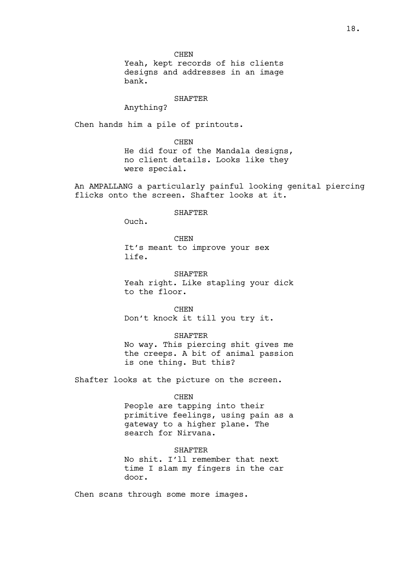CHEN Yeah, kept records of his clients designs and addresses in an image bank.

## SHAFTER

Anything?

Chen hands him a pile of printouts.

## **CHEN**

He did four of the Mandala designs, no client details. Looks like they were special.

An AMPALLANG a particularly painful looking genital piercing flicks onto the screen. Shafter looks at it.

#### SHAFTER

Ouch.

CHEN It's meant to improve your sex life.

**SHAFTER** Yeah right. Like stapling your dick to the floor.

CHEN Don't knock it till you try it.

### SHAFTER

No way. This piercing shit gives me the creeps. A bit of animal passion is one thing. But this?

Shafter looks at the picture on the screen.

### CHEN

People are tapping into their primitive feelings, using pain as a gateway to a higher plane. The search for Nirvana.

## SHAFTER

No shit. I'll remember that next time I slam my fingers in the car door.

Chen scans through some more images.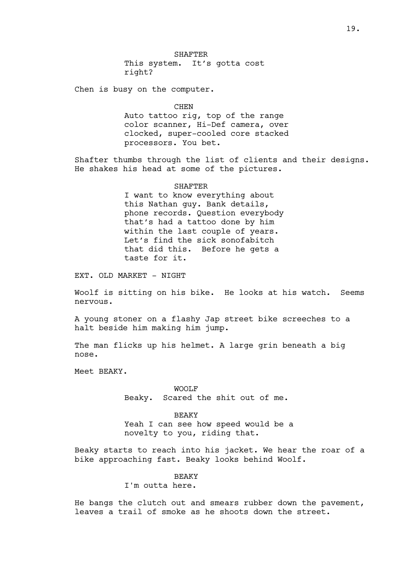Chen is busy on the computer.

#### CHEN

Auto tattoo rig, top of the range color scanner, Hi-Def camera, over clocked, super-cooled core stacked processors. You bet.

Shafter thumbs through the list of clients and their designs. He shakes his head at some of the pictures.

#### SHAFTER

I want to know everything about this Nathan guy. Bank details, phone records. Question everybody that's had a tattoo done by him within the last couple of years. Let's find the sick sonofabitch that did this. Before he gets a taste for it.

EXT. OLD MARKET - NIGHT

Woolf is sitting on his bike. He looks at his watch. Seems nervous.

A young stoner on a flashy Jap street bike screeches to a halt beside him making him jump.

The man flicks up his helmet. A large grin beneath a big nose.

Meet BEAKY.

WOOLF Beaky. Scared the shit out of me.

BEAKY Yeah I can see how speed would be a novelty to you, riding that.

Beaky starts to reach into his jacket. We hear the roar of a bike approaching fast. Beaky looks behind Woolf.

## **BEAKY**

I'm outta here.

He bangs the clutch out and smears rubber down the pavement, leaves a trail of smoke as he shoots down the street.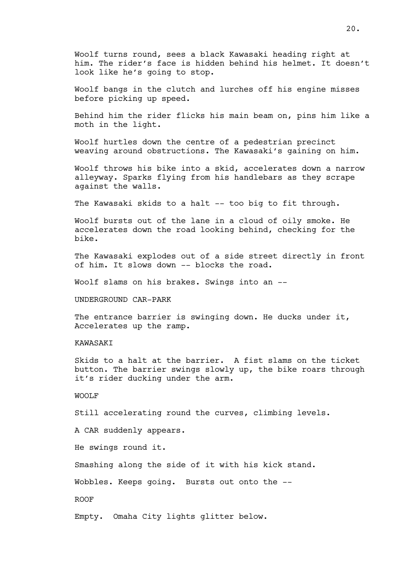Woolf turns round, sees a black Kawasaki heading right at him. The rider's face is hidden behind his helmet. It doesn't look like he's going to stop.

Woolf bangs in the clutch and lurches off his engine misses before picking up speed.

Behind him the rider flicks his main beam on, pins him like a moth in the light.

Woolf hurtles down the centre of a pedestrian precinct weaving around obstructions. The Kawasaki's gaining on him.

Woolf throws his bike into a skid, accelerates down a narrow alleyway. Sparks flying from his handlebars as they scrape against the walls.

The Kawasaki skids to a halt -- too big to fit through.

Woolf bursts out of the lane in a cloud of oily smoke. He accelerates down the road looking behind, checking for the bike.

The Kawasaki explodes out of a side street directly in front of him. It slows down -- blocks the road.

Woolf slams on his brakes. Swings into an --

UNDERGROUND CAR-PARK

The entrance barrier is swinging down. He ducks under it, Accelerates up the ramp.

KAWASAKI

Skids to a halt at the barrier. A fist slams on the ticket button. The barrier swings slowly up, the bike roars through it's rider ducking under the arm.

### WOOLF

Still accelerating round the curves, climbing levels.

A CAR suddenly appears.

He swings round it.

Smashing along the side of it with his kick stand.

Wobbles. Keeps going. Bursts out onto the --

ROOF

Empty. Omaha City lights glitter below.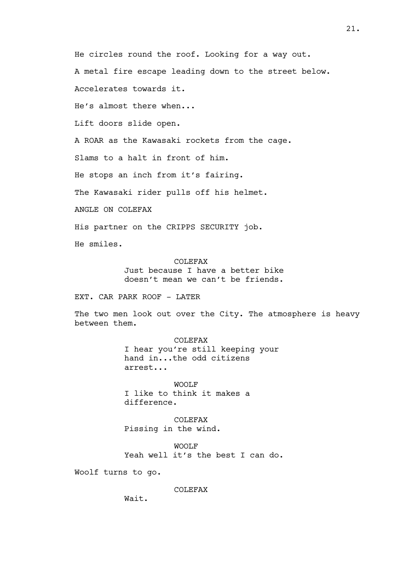He circles round the roof. Looking for a way out.

A metal fire escape leading down to the street below.

Accelerates towards it.

He's almost there when...

Lift doors slide open.

A ROAR as the Kawasaki rockets from the cage.

Slams to a halt in front of him.

He stops an inch from it's fairing.

The Kawasaki rider pulls off his helmet.

ANGLE ON COLEFAX

His partner on the CRIPPS SECURITY job.

He smiles.

COLEFAX Just because I have a better bike doesn't mean we can't be friends.

EXT. CAR PARK ROOF - LATER

The two men look out over the City. The atmosphere is heavy between them.

> COLEFAX I hear you're still keeping your hand in...the odd citizens arrest...

WOOLF I like to think it makes a difference.

COLEFAX Pissing in the wind.

WOOLF Yeah well it's the best I can do.

Woolf turns to go.

COLEFAX

Wait.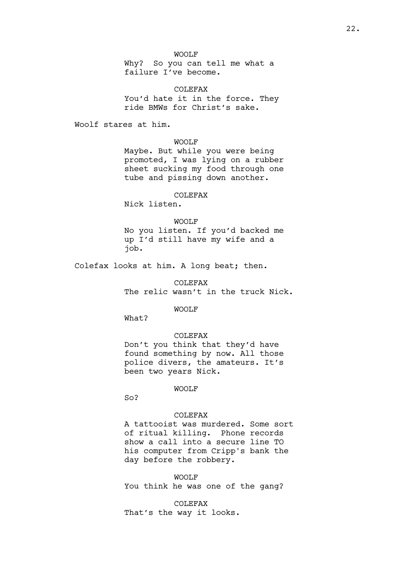## WOOLF

Why? So you can tell me what a failure I've become.

COLEFAX You'd hate it in the force. They ride BMWs for Christ's sake.

Woolf stares at him.

WOOLF

Maybe. But while you were being promoted, I was lying on a rubber sheet sucking my food through one tube and pissing down another.

# COLEFAX

Nick listen.

### WOOLF

No you listen. If you'd backed me up I'd still have my wife and a job.

Colefax looks at him. A long beat; then.

COLEFAX The relic wasn't in the truck Nick.

WOOLF

What?

#### COLEFAX

Don't you think that they'd have found something by now. All those police divers, the amateurs. It's been two years Nick.

WOOLF

So?

#### COLEFAX

A tattooist was murdered. Some sort of ritual killing. Phone records show a call into a secure line TO his computer from Cripp's bank the day before the robbery.

WOOLF You think he was one of the gang?

COLEFAX That's the way it looks.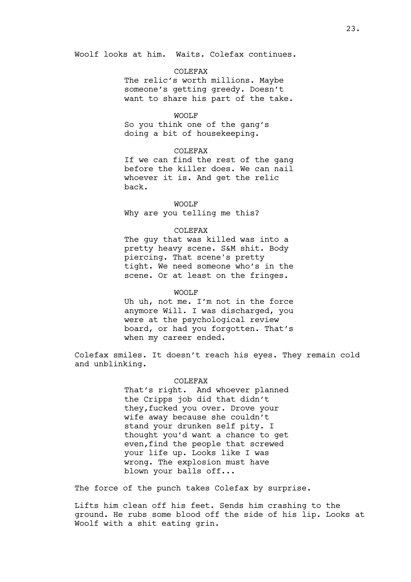Woolf looks at him. Waits. Colefax continues.

## COLEFAX

The relic's worth millions. Maybe someone's getting greedy. Doesn't want to share his part of the take.

### WOOLF

So you think one of the gang's doing a bit of housekeeping.

## COLEFAX

If we can find the rest of the gang before the killer does. We can nail whoever it is. And get the relic back.

### WOOLF

Why are you telling me this?

### COLEFAX

The guy that was killed was into a pretty heavy scene. S&M shit. Body piercing. That scene's pretty tight. We need someone who's in the scene. Or at least on the fringes.

#### WOOLF

Uh uh, not me. I'm not in the force anymore Will. I was discharged, you were at the psychological review board, or had you forgotten. That's when my career ended.

Colefax smiles. It doesn't reach his eyes. They remain cold and unblinking.

## COLEFAX

That's right. And whoever planned the Cripps job did that didn't they,fucked you over. Drove your wife away because she couldn't stand your drunken self pity. I thought you'd want a chance to get even,find the people that screwed your life up. Looks like I was wrong. The explosion must have blown your balls off...

The force of the punch takes Colefax by surprise.

Lifts him clean off his feet. Sends him crashing to the ground. He rubs some blood off the side of his lip. Looks at Woolf with a shit eating grin.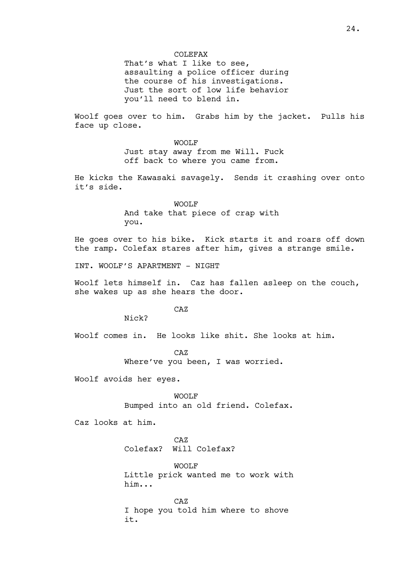That's what I like to see, assaulting a police officer during the course of his investigations. Just the sort of low life behavior you'll need to blend in.

Woolf goes over to him. Grabs him by the jacket. Pulls his face up close.

> WOOLF Just stay away from me Will. Fuck off back to where you came from.

He kicks the Kawasaki savagely. Sends it crashing over onto it's side.

> WOOLF And take that piece of crap with you.

He goes over to his bike. Kick starts it and roars off down the ramp. Colefax stares after him, gives a strange smile.

INT. WOOLF'S APARTMENT - NIGHT

Woolf lets himself in. Caz has fallen asleep on the couch, she wakes up as she hears the door.

CAZ

Nick?

Woolf comes in. He looks like shit. She looks at him.

CAZ Where've you been, I was worried.

Woolf avoids her eyes.

WOOLF Bumped into an old friend. Colefax.

Caz looks at him.

CAZ Colefax? Will Colefax?

WOOLF Little prick wanted me to work with him...

CAZ I hope you told him where to shove it.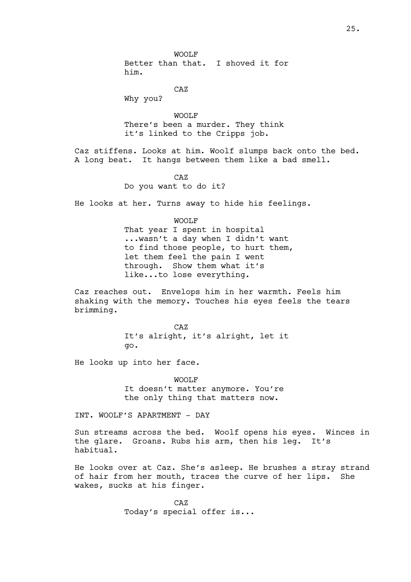WOOLF Better than that. I shoved it for him.

CAZ

Why you?

WOOLF There's been a murder. They think it's linked to the Cripps job.

Caz stiffens. Looks at him. Woolf slumps back onto the bed. A long beat. It hangs between them like a bad smell.

 $C<sub>A</sub>Z$ 

Do you want to do it?

He looks at her. Turns away to hide his feelings.

WOOLF That year I spent in hospital ...wasn't a day when I didn't want to find those people, to hurt them, let them feel the pain I went through. Show them what it's like...to lose everything.

Caz reaches out. Envelops him in her warmth. Feels him shaking with the memory. Touches his eyes feels the tears brimming.

> CAZ It's alright, it's alright, let it go.

He looks up into her face.

WOOLF It doesn't matter anymore. You're the only thing that matters now.

INT. WOOLF'S APARTMENT - DAY

Sun streams across the bed. Woolf opens his eyes. Winces in the glare. Groans. Rubs his arm, then his leg. It's habitual.

He looks over at Caz. She's asleep. He brushes a stray strand of hair from her mouth, traces the curve of her lips. She wakes, sucks at his finger.

> CAZ Today's special offer is...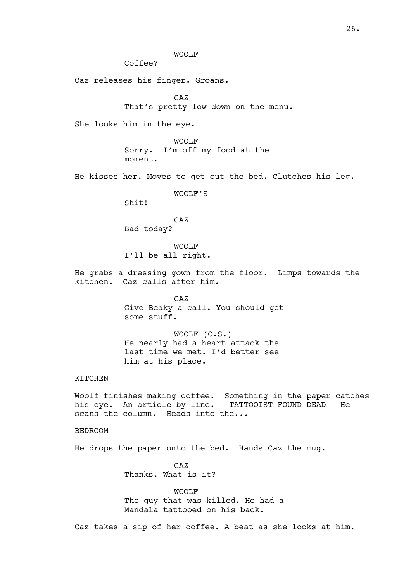WOOLF

Coffee?

Caz releases his finger. Groans.

CAZ

That's pretty low down on the menu.

She looks him in the eye.

WOOLF Sorry. I'm off my food at the moment.

He kisses her. Moves to get out the bed. Clutches his leg.

WOOLF'S

Shit!

CAZ Bad today?

WOOLF I'll be all right.

He grabs a dressing gown from the floor. Limps towards the kitchen. Caz calls after him.

> CAZ Give Beaky a call. You should get some stuff.

WOOLF (O.S.) He nearly had a heart attack the last time we met. I'd better see him at his place.

## KITCHEN

Woolf finishes making coffee. Something in the paper catches his eye. An article by-line. TATTOOIST FOUND DEAD He scans the column. Heads into the...

## BEDROOM

He drops the paper onto the bed. Hands Caz the mug.

CAZ Thanks. What is it?

WOOLF The guy that was killed. He had a Mandala tattooed on his back.

Caz takes a sip of her coffee. A beat as she looks at him.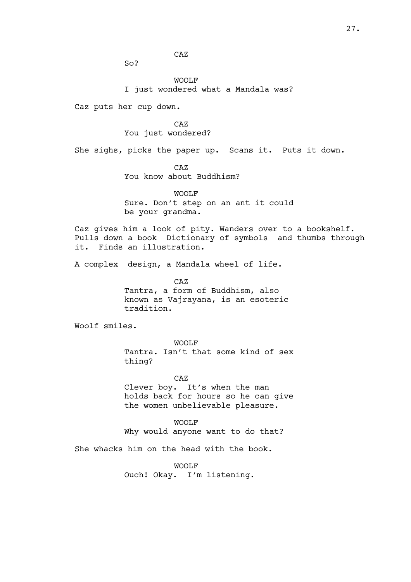CAZ

So?

WOOLF I just wondered what a Mandala was?

Caz puts her cup down.

CAZ You just wondered?

She sighs, picks the paper up. Scans it. Puts it down.

CAZ

You know about Buddhism?

WOOLF

Sure. Don't step on an ant it could be your grandma.

Caz gives him a look of pity. Wanders over to a bookshelf. Pulls down a book Dictionary of symbols and thumbs through it. Finds an illustration.

A complex design, a Mandala wheel of life.

CAZ Tantra, a form of Buddhism, also known as Vajrayana, is an esoteric tradition.

Woolf smiles.

WOOLF Tantra. Isn't that some kind of sex thing?

CAZ Clever boy. It's when the man holds back for hours so he can give the women unbelievable pleasure.

WOOLF Why would anyone want to do that?

She whacks him on the head with the book.

WOOLF

Ouch! Okay. I'm listening.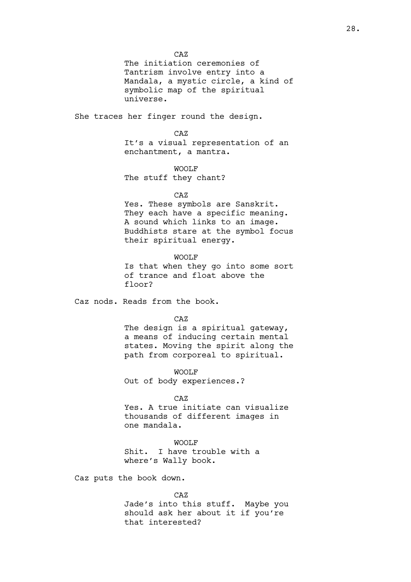CAZ

The initiation ceremonies of Tantrism involve entry into a Mandala, a mystic circle, a kind of symbolic map of the spiritual universe.

She traces her finger round the design.

## CAZ

It's a visual representation of an enchantment, a mantra.

### WOOLF

The stuff they chant?

#### CAZ

Yes. These symbols are Sanskrit. They each have a specific meaning. A sound which links to an image. Buddhists stare at the symbol focus their spiritual energy.

### WOOLF

Is that when they go into some sort of trance and float above the floor?

Caz nods. Reads from the book.

CAZ

The design is a spiritual gateway, a means of inducing certain mental states. Moving the spirit along the path from corporeal to spiritual.

WOOLF

Out of body experiences.?

## CAZ

Yes. A true initiate can visualize thousands of different images in one mandala.

# WOOLF

Shit. I have trouble with a where's Wally book.

Caz puts the book down.

#### CAZ

Jade's into this stuff. Maybe you should ask her about it if you're that interested?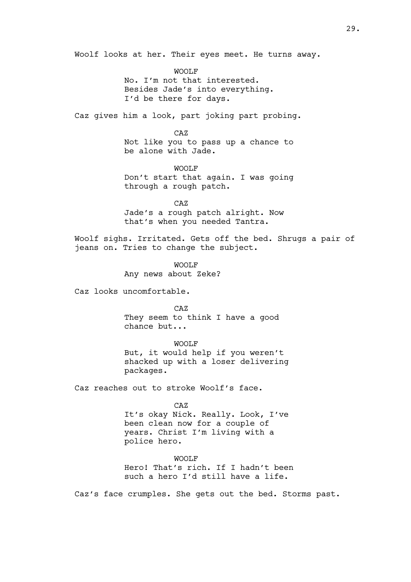Woolf looks at her. Their eyes meet. He turns away.

WOOLF No. I'm not that interested. Besides Jade's into everything. I'd be there for days.

Caz gives him a look, part joking part probing.

CAZ

Not like you to pass up a chance to be alone with Jade.

WOOLF

Don't start that again. I was going through a rough patch.

CAZ Jade's a rough patch alright. Now that's when you needed Tantra.

Woolf sighs. Irritated. Gets off the bed. Shrugs a pair of jeans on. Tries to change the subject.

> WOOLF Any news about Zeke?

Caz looks uncomfortable.

CAZ They seem to think I have a good chance but...

WOOLF But, it would help if you weren't shacked up with a loser delivering packages.

Caz reaches out to stroke Woolf's face.

CAZ It's okay Nick. Really. Look, I've been clean now for a couple of years. Christ I'm living with a police hero.

WOOLF Hero! That's rich. If I hadn't been such a hero I'd still have a life.

Caz's face crumples. She gets out the bed. Storms past.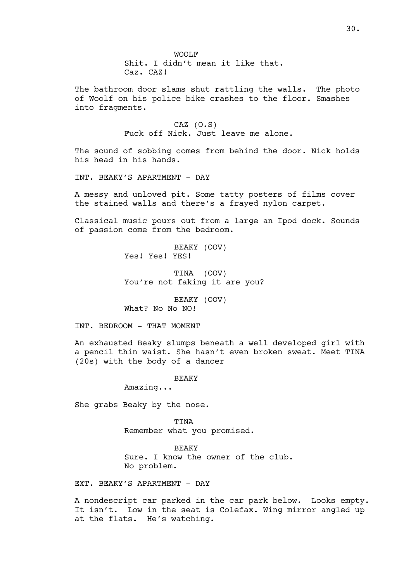The bathroom door slams shut rattling the walls. The photo of Woolf on his police bike crashes to the floor. Smashes into fragments.

> CAZ (O.S) Fuck off Nick. Just leave me alone.

The sound of sobbing comes from behind the door. Nick holds his head in his hands.

INT. BEAKY'S APARTMENT - DAY

A messy and unloved pit. Some tatty posters of films cover the stained walls and there's a frayed nylon carpet.

Classical music pours out from a large an Ipod dock. Sounds of passion come from the bedroom.

> BEAKY (OOV) Yes! Yes! YES!

TINA (OOV) You're not faking it are you?

BEAKY (OOV) What? No No NO!

INT. BEDROOM - THAT MOMENT

An exhausted Beaky slumps beneath a well developed girl with a pencil thin waist. She hasn't even broken sweat. Meet TINA (20s) with the body of a dancer

BEAKY

Amazing...

She grabs Beaky by the nose.

**TINA** Remember what you promised.

BEAKY Sure. I know the owner of the club. No problem.

EXT. BEAKY'S APARTMENT - DAY

A nondescript car parked in the car park below. Looks empty. It isn't. Low in the seat is Colefax. Wing mirror angled up at the flats. He's watching.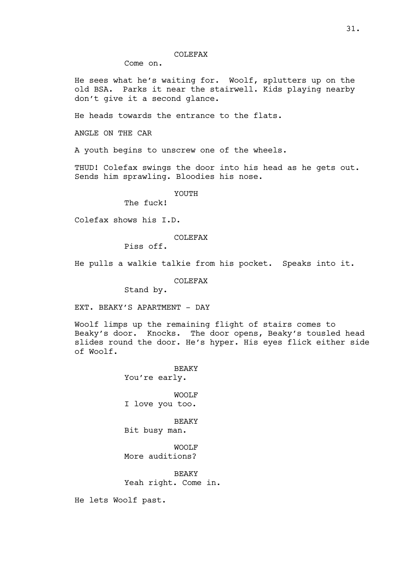### COLEFAX

Come on.

He sees what he's waiting for. Woolf, splutters up on the old BSA. Parks it near the stairwell. Kids playing nearby don't give it a second glance.

He heads towards the entrance to the flats.

ANGLE ON THE CAR

A youth begins to unscrew one of the wheels.

THUD! Colefax swings the door into his head as he gets out. Sends him sprawling. Bloodies his nose.

YOUTH

The fuck!

Colefax shows his I.D.

### COLEFAX

Piss off.

He pulls a walkie talkie from his pocket. Speaks into it.

COLEFAX

Stand by.

EXT. BEAKY'S APARTMENT - DAY

Woolf limps up the remaining flight of stairs comes to Beaky's door. Knocks. The door opens, Beaky's tousled head slides round the door. He's hyper. His eyes flick either side of Woolf.

> BEAKY You're early.

> WOOLF I love you too.

> **BEAKY** Bit busy man.

WOOLF More auditions?

BEAKY Yeah right. Come in.

He lets Woolf past.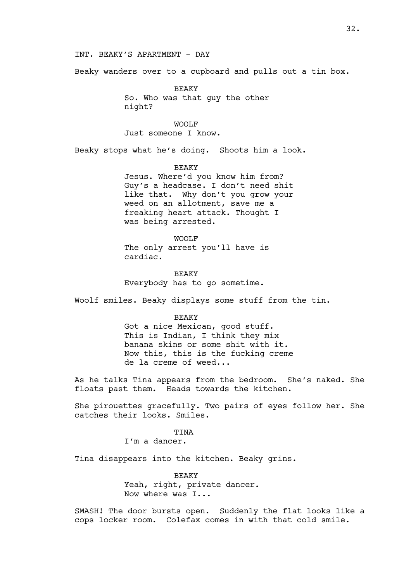## INT. BEAKY'S APARTMENT - DAY

Beaky wanders over to a cupboard and pulls out a tin box.

BEAKY So. Who was that guy the other night?

WOOLF Just someone I know.

Beaky stops what he's doing. Shoots him a look.

# BEAKY Jesus. Where'd you know him from? Guy's a headcase. I don't need shit like that. Why don't you grow your weed on an allotment, save me a freaking heart attack. Thought I was being arrested.

### WOOLF

The only arrest you'll have is cardiac.

**BEAKY** Everybody has to go sometime.

Woolf smiles. Beaky displays some stuff from the tin.

#### BEAKY

Got a nice Mexican, good stuff. This is Indian, I think they mix banana skins or some shit with it. Now this, this is the fucking creme de la creme of weed...

As he talks Tina appears from the bedroom. She's naked. She floats past them. Heads towards the kitchen.

She pirouettes gracefully. Two pairs of eyes follow her. She catches their looks. Smiles.

#### TINA

I'm a dancer.

Tina disappears into the kitchen. Beaky grins.

BEAKY Yeah, right, private dancer. Now where was I...

SMASH! The door bursts open. Suddenly the flat looks like a cops locker room. Colefax comes in with that cold smile.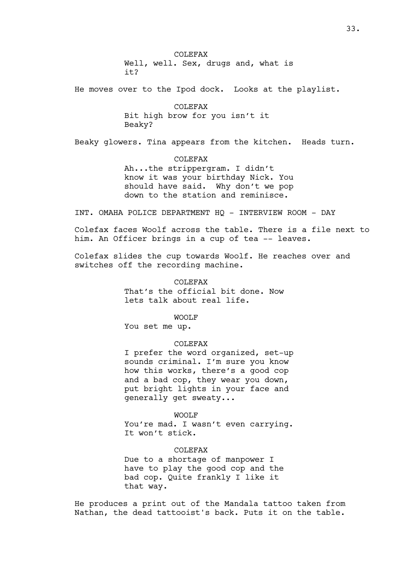COLEFAX Well, well. Sex, drugs and, what is it?

He moves over to the Ipod dock. Looks at the playlist.

COLEFAX Bit high brow for you isn't it Beaky?

Beaky glowers. Tina appears from the kitchen. Heads turn.

COLEFAX Ah...the strippergram. I didn't know it was your birthday Nick. You should have said. Why don't we pop down to the station and reminisce.

INT. OMAHA POLICE DEPARTMENT HQ - INTERVIEW ROOM - DAY

Colefax faces Woolf across the table. There is a file next to him. An Officer brings in a cup of tea -- leaves.

Colefax slides the cup towards Woolf. He reaches over and switches off the recording machine.

> COLEFAX That's the official bit done. Now lets talk about real life.

> > WOOLF

You set me up.

## COLEFAX

I prefer the word organized, set-up sounds criminal. I'm sure you know how this works, there's a good cop and a bad cop, they wear you down, put bright lights in your face and generally get sweaty...

WOOLF You're mad. I wasn't even carrying. It won't stick.

COLEFAX Due to a shortage of manpower I have to play the good cop and the bad cop. Quite frankly I like it that way.

He produces a print out of the Mandala tattoo taken from Nathan, the dead tattooist's back. Puts it on the table.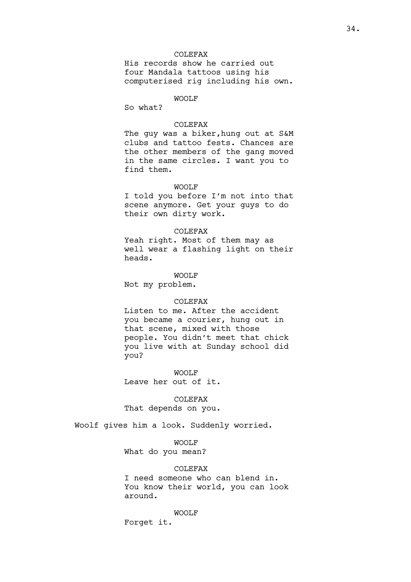## COLEFAX

His records show he carried out four Mandala tattoos using his computerised rig including his own.

# WOOLF

So what?

## COLEFAX

The guy was a biker, hung out at S&M clubs and tattoo fests. Chances are the other members of the gang moved in the same circles. I want you to find them.

## WOOLF

I told you before I'm not into that scene anymore. Get your guys to do their own dirty work.

### COLEFAX

Yeah right. Most of them may as well wear a flashing light on their heads.

WOOLF

Not my problem.

## COLEFAX

Listen to me. After the accident you became a courier, hung out in that scene, mixed with those people. You didn't meet that chick you live with at Sunday school did you?

WOOLF

Leave her out of it.

COLEFAX That depends on you.

Woolf gives him a look. Suddenly worried.

WOOLF

What do you mean?

COLEFAX

I need someone who can blend in. You know their world, you can look around.

WOOLF

Forget it.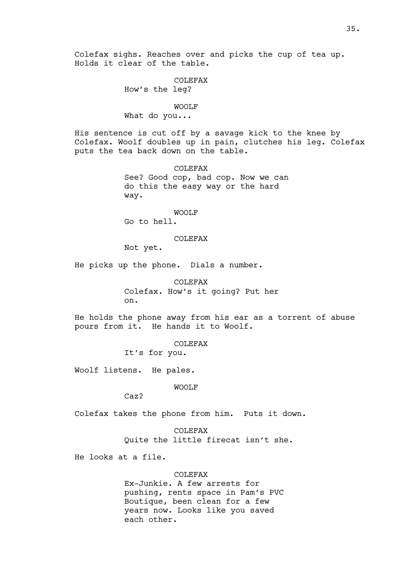Colefax sighs. Reaches over and picks the cup of tea up. Holds it clear of the table.

# COLEFAX

How's the leg?

### WOOLF

What do you...

His sentence is cut off by a savage kick to the knee by Colefax. Woolf doubles up in pain, clutches his leg. Colefax puts the tea back down on the table.

> COLEFAX See? Good cop, bad cop. Now we can do this the easy way or the hard way.

## WOOLF

Go to hell.

## COLEFAX

Not yet.

He picks up the phone. Dials a number.

COLEFAX Colefax. How's it going? Put her on.

He holds the phone away from his ear as a torrent of abuse pours from it. He hands it to Woolf.

COLEFAX

It's for you.

Woolf listens. He pales.

WOOLF

Caz?

Colefax takes the phone from him. Puts it down.

COLEFAX Quite the little firecat isn't she.

He looks at a file.

# **COLEFAX**

Ex-Junkie. A few arrests for pushing, rents space in Pam's PVC Boutique, been clean for a few years now. Looks like you saved each other.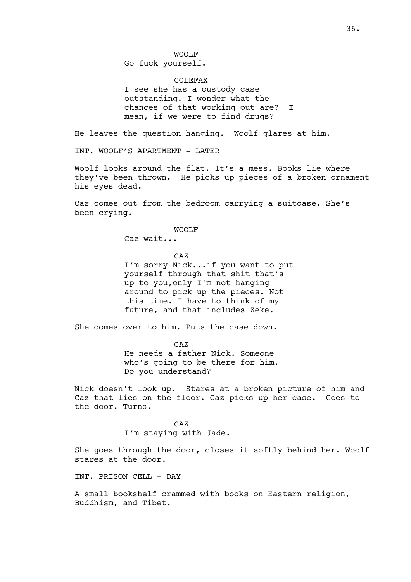WOOLF Go fuck yourself.

COLEFAX I see she has a custody case outstanding. I wonder what the chances of that working out are? I mean, if we were to find drugs?

He leaves the question hanging. Woolf glares at him.

INT. WOOLF'S APARTMENT - LATER

Woolf looks around the flat. It's a mess. Books lie where they've been thrown. He picks up pieces of a broken ornament his eyes dead.

Caz comes out from the bedroom carrying a suitcase. She's been crying.

WOOLF

Caz wait...

CAZ

I'm sorry Nick...if you want to put yourself through that shit that's up to you,only I'm not hanging around to pick up the pieces. Not this time. I have to think of my future, and that includes Zeke.

She comes over to him. Puts the case down.

CAZ He needs a father Nick. Someone who's going to be there for him. Do you understand?

Nick doesn't look up. Stares at a broken picture of him and Caz that lies on the floor. Caz picks up her case. Goes to the door. Turns.

> CAZ I'm staying with Jade.

She goes through the door, closes it softly behind her. Woolf stares at the door.

INT. PRISON CELL - DAY

A small bookshelf crammed with books on Eastern religion, Buddhism, and Tibet.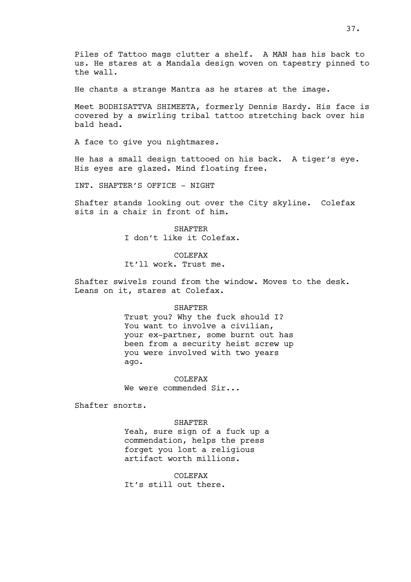Piles of Tattoo mags clutter a shelf. A MAN has his back to us. He stares at a Mandala design woven on tapestry pinned to the wall.

He chants a strange Mantra as he stares at the image.

Meet BODHISATTVA SHIMEETA, formerly Dennis Hardy. His face is covered by a swirling tribal tattoo stretching back over his bald head.

A face to give you nightmares.

He has a small design tattooed on his back. A tiger's eye. His eyes are glazed. Mind floating free.

INT. SHAFTER'S OFFICE - NIGHT

Shafter stands looking out over the City skyline. Colefax sits in a chair in front of him.

> SHAFTER I don't like it Colefax.

COLEFAX It'll work. Trust me.

Shafter swivels round from the window. Moves to the desk. Leans on it, stares at Colefax.

#### SHAFTER

Trust you? Why the fuck should I? You want to involve a civilian, your ex-partner, some burnt out has been from a security heist screw up you were involved with two years ago.

COLEFAX We were commended Sir...

Shafter snorts.

#### SHAFTER

Yeah, sure sign of a fuck up a commendation, helps the press forget you lost a religious artifact worth millions.

COLEFAX It's still out there.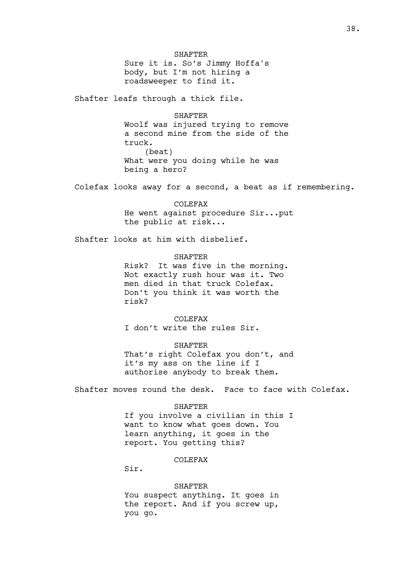SHAFTER Sure it is. So's Jimmy Hoffa's body, but I'm not hiring a roadsweeper to find it.

Shafter leafs through a thick file.

SHAFTER Woolf was injured trying to remove a second mine from the side of the truck. (beat) What were you doing while he was being a hero?

Colefax looks away for a second, a beat as if remembering.

COLEFAX He went against procedure Sir...put the public at risk...

Shafter looks at him with disbelief.

**SHAFTER** 

Risk? It was five in the morning. Not exactly rush hour was it. Two men died in that truck Colefax. Don't you think it was worth the risk?

COLEFAX I don't write the rules Sir.

SHAFTER That's right Colefax you don't, and it's my ass on the line if I authorise anybody to break them.

Shafter moves round the desk. Face to face with Colefax.

#### SHAFTER

If you involve a civilian in this I want to know what goes down. You learn anything, it goes in the report. You getting this?

COLEFAX

Sir.

SHAFTER You suspect anything. It goes in the report. And if you screw up, you go.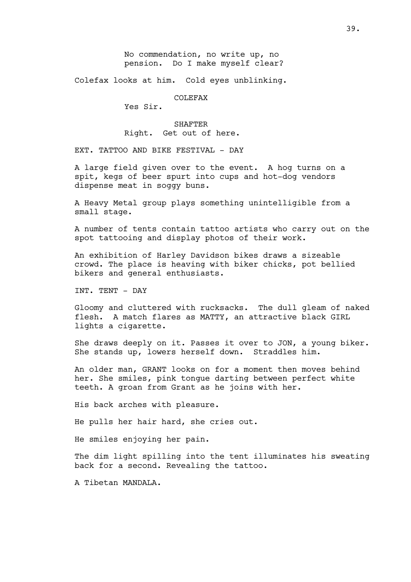Colefax looks at him. Cold eyes unblinking.

COLEFAX

Yes Sir.

SHAFTER Right. Get out of here.

EXT. TATTOO AND BIKE FESTIVAL - DAY

A large field given over to the event. A hog turns on a spit, kegs of beer spurt into cups and hot-dog vendors dispense meat in soggy buns.

A Heavy Metal group plays something unintelligible from a small stage.

A number of tents contain tattoo artists who carry out on the spot tattooing and display photos of their work.

An exhibition of Harley Davidson bikes draws a sizeable crowd. The place is heaving with biker chicks, pot bellied bikers and general enthusiasts.

INT. TENT - DAY

Gloomy and cluttered with rucksacks. The dull gleam of naked flesh. A match flares as MATTY, an attractive black GIRL lights a cigarette.

She draws deeply on it. Passes it over to JON, a young biker. She stands up, lowers herself down. Straddles him.

An older man, GRANT looks on for a moment then moves behind her. She smiles, pink tongue darting between perfect white teeth. A groan from Grant as he joins with her.

His back arches with pleasure.

He pulls her hair hard, she cries out.

He smiles enjoying her pain.

The dim light spilling into the tent illuminates his sweating back for a second. Revealing the tattoo.

A Tibetan MANDALA.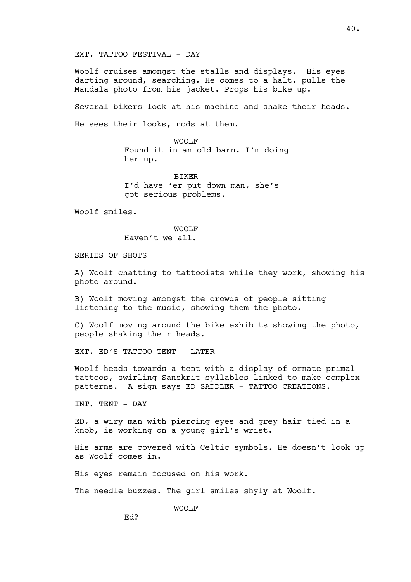EXT. TATTOO FESTIVAL - DAY

Woolf cruises amongst the stalls and displays. His eyes darting around, searching. He comes to a halt, pulls the Mandala photo from his jacket. Props his bike up.

Several bikers look at his machine and shake their heads. He sees their looks, nods at them.

> WOOLF Found it in an old barn. I'm doing her up.

**BIKER** I'd have 'er put down man, she's got serious problems.

Woolf smiles.

WOOLF Haven't we all.

SERIES OF SHOTS

A) Woolf chatting to tattooists while they work, showing his photo around.

B) Woolf moving amongst the crowds of people sitting listening to the music, showing them the photo.

C) Woolf moving around the bike exhibits showing the photo, people shaking their heads.

EXT. ED'S TATTOO TENT - LATER

Woolf heads towards a tent with a display of ornate primal tattoos, swirling Sanskrit syllables linked to make complex patterns. A sign says ED SADDLER - TATTOO CREATIONS.

INT. TENT - DAY

ED, a wiry man with piercing eyes and grey hair tied in a knob, is working on a young girl's wrist.

His arms are covered with Celtic symbols. He doesn't look up as Woolf comes in.

His eyes remain focused on his work.

The needle buzzes. The girl smiles shyly at Woolf.

WOOLF

Ed?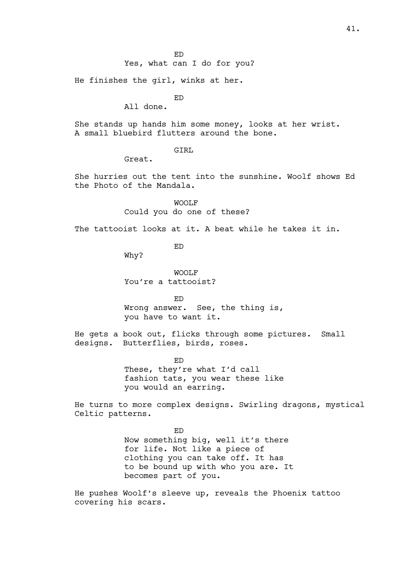He finishes the girl, winks at her.

ED

All done.

She stands up hands him some money, looks at her wrist. A small bluebird flutters around the bone.

GTRT.

Great.

She hurries out the tent into the sunshine. Woolf shows Ed the Photo of the Mandala.

> WOOLF Could you do one of these?

The tattooist looks at it. A beat while he takes it in.

ED

Why?

WOOLF You're a tattooist?

ED Wrong answer. See, the thing is, you have to want it.

He gets a book out, flicks through some pictures. Small designs. Butterflies, birds, roses.

ED

These, they're what I'd call fashion tats, you wear these like you would an earring.

He turns to more complex designs. Swirling dragons, mystical Celtic patterns.

> ED Now something big, well it's there for life. Not like a piece of clothing you can take off. It has to be bound up with who you are. It becomes part of you.

He pushes Woolf's sleeve up, reveals the Phoenix tattoo covering his scars.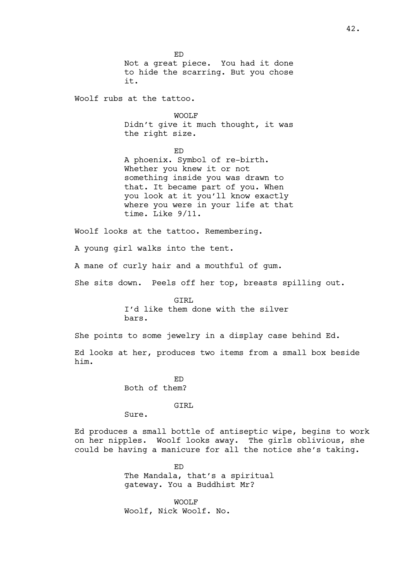ED Not a great piece. You had it done to hide the scarring. But you chose it.

Woolf rubs at the tattoo.

WOOLF Didn't give it much thought, it was the right size.

ED A phoenix. Symbol of re-birth. Whether you knew it or not something inside you was drawn to that. It became part of you. When you look at it you'll know exactly where you were in your life at that time. Like 9/11.

Woolf looks at the tattoo. Remembering.

A young girl walks into the tent.

A mane of curly hair and a mouthful of gum.

She sits down. Peels off her top, breasts spilling out.

GTRT. I'd like them done with the silver bars.

She points to some jewelry in a display case behind Ed.

Ed looks at her, produces two items from a small box beside him.

> ED Both of them?

## GIRL

Sure.

Ed produces a small bottle of antiseptic wipe, begins to work on her nipples. Woolf looks away. The girls oblivious, she could be having a manicure for all the notice she's taking.

> ED The Mandala, that's a spiritual gateway. You a Buddhist Mr?

WOOLF Woolf, Nick Woolf. No.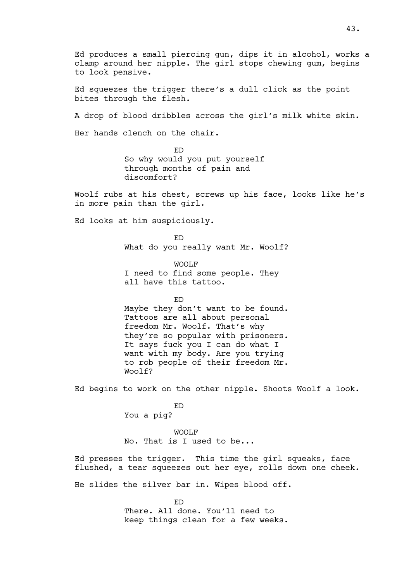Ed produces a small piercing gun, dips it in alcohol, works a clamp around her nipple. The girl stops chewing gum, begins to look pensive.

Ed squeezes the trigger there's a dull click as the point bites through the flesh.

A drop of blood dribbles across the girl's milk white skin.

Her hands clench on the chair.

ED So why would you put yourself through months of pain and discomfort?

Woolf rubs at his chest, screws up his face, looks like he's in more pain than the girl.

Ed looks at him suspiciously.

ED What do you really want Mr. Woolf?

WOOLF I need to find some people. They all have this tattoo.

ED

Maybe they don't want to be found. Tattoos are all about personal freedom Mr. Woolf. That's why they're so popular with prisoners. It says fuck you I can do what I want with my body. Are you trying to rob people of their freedom Mr. Woolf?

Ed begins to work on the other nipple. Shoots Woolf a look.

ED

You a pig?

WOOLF No. That is I used to be...

Ed presses the trigger. This time the girl squeaks, face flushed, a tear squeezes out her eye, rolls down one cheek.

He slides the silver bar in. Wipes blood off.

ED There. All done. You'll need to keep things clean for a few weeks.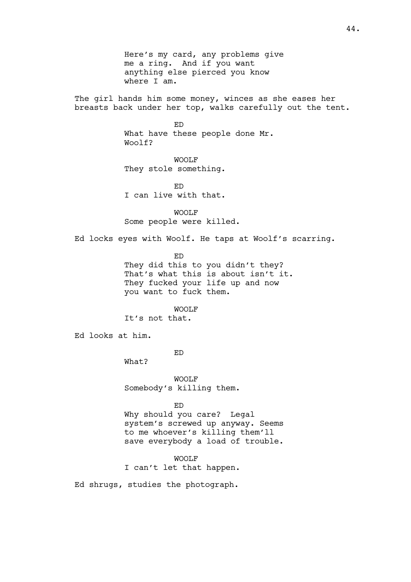Here's my card, any problems give me a ring. And if you want anything else pierced you know where I am.

The girl hands him some money, winces as she eases her breasts back under her top, walks carefully out the tent.

> ED What have these people done Mr. Woolf?

WOOLF They stole something.

ED I can live with that.

WOOLF Some people were killed.

Ed locks eyes with Woolf. He taps at Woolf's scarring.

ED

They did this to you didn't they? That's what this is about isn't it. They fucked your life up and now you want to fuck them.

WOOLF

It's not that.

Ed looks at him.

ED

What?

WOOLF Somebody's killing them.

ED

Why should you care? Legal system's screwed up anyway. Seems to me whoever's killing them'll save everybody a load of trouble.

WOOLF I can't let that happen.

Ed shrugs, studies the photograph.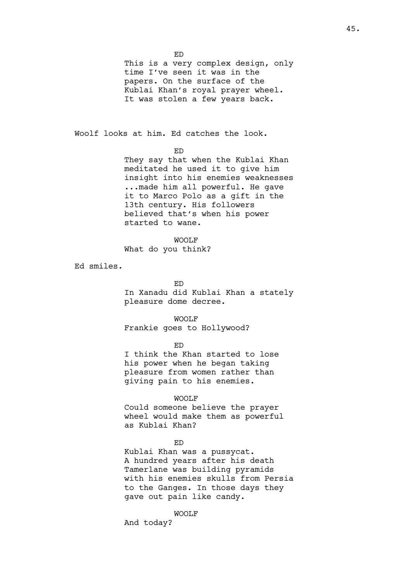ED

This is a very complex design, only time I've seen it was in the papers. On the surface of the Kublai Khan's royal prayer wheel. It was stolen a few years back.

Woolf looks at him. Ed catches the look.

ED

They say that when the Kublai Khan meditated he used it to give him insight into his enemies weaknesses ...made him all powerful. He gave it to Marco Polo as a gift in the 13th century. His followers believed that's when his power started to wane.

WOOLF

What do you think?

Ed smiles.

ED

In Xanadu did Kublai Khan a stately pleasure dome decree.

WOOLF

Frankie goes to Hollywood?

ED

I think the Khan started to lose his power when he began taking pleasure from women rather than giving pain to his enemies.

WOOLF

Could someone believe the prayer wheel would make them as powerful as Kublai Khan?

ED

Kublai Khan was a pussycat. A hundred years after his death Tamerlane was building pyramids with his enemies skulls from Persia to the Ganges. In those days they gave out pain like candy.

WOOLF

And today?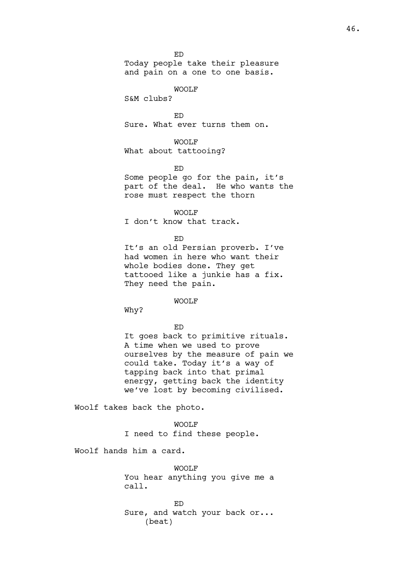Today people take their pleasure and pain on a one to one basis.

WOOLF

S&M clubs?

ED Sure. What ever turns them on.

## WOOLF

What about tattooing?

ED

Some people go for the pain, it's part of the deal. He who wants the rose must respect the thorn

WOOLF

I don't know that track.

## ED

It's an old Persian proverb. I've had women in here who want their whole bodies done. They get tattooed like a junkie has a fix. They need the pain.

WOOLF

Why?

ED

It goes back to primitive rituals. A time when we used to prove ourselves by the measure of pain we could take. Today it's a way of tapping back into that primal energy, getting back the identity we've lost by becoming civilised.

Woolf takes back the photo.

WOOLF I need to find these people.

Woolf hands him a card.

WOOLF You hear anything you give me a call.

ED Sure, and watch your back or... (beat)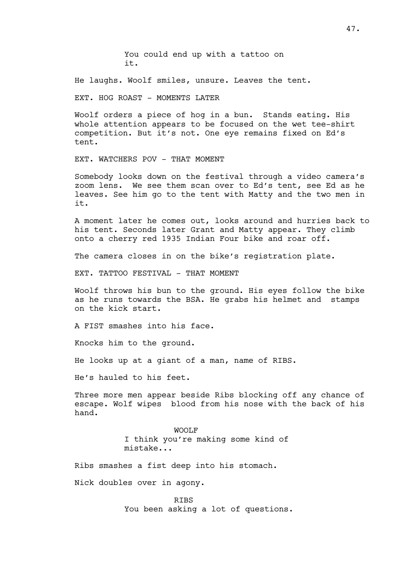You could end up with a tattoo on it.

He laughs. Woolf smiles, unsure. Leaves the tent.

EXT. HOG ROAST - MOMENTS LATER

Woolf orders a piece of hog in a bun. Stands eating. His whole attention appears to be focused on the wet tee-shirt competition. But it's not. One eye remains fixed on Ed's tent.

EXT. WATCHERS POV - THAT MOMENT

Somebody looks down on the festival through a video camera's zoom lens. We see them scan over to Ed's tent, see Ed as he leaves. See him go to the tent with Matty and the two men in it.

A moment later he comes out, looks around and hurries back to his tent. Seconds later Grant and Matty appear. They climb onto a cherry red 1935 Indian Four bike and roar off.

The camera closes in on the bike's registration plate.

EXT. TATTOO FESTIVAL - THAT MOMENT

Woolf throws his bun to the ground. His eyes follow the bike as he runs towards the BSA. He grabs his helmet and stamps on the kick start.

A FIST smashes into his face.

Knocks him to the ground.

He looks up at a giant of a man, name of RIBS.

He's hauled to his feet.

Three more men appear beside Ribs blocking off any chance of escape. Wolf wipes blood from his nose with the back of his hand.

> WOOLF I think you're making some kind of mistake...

Ribs smashes a fist deep into his stomach.

Nick doubles over in agony.

RIBS You been asking a lot of questions.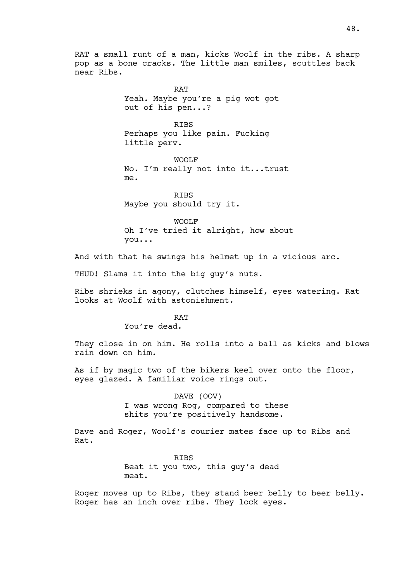RAT a small runt of a man, kicks Woolf in the ribs. A sharp pop as a bone cracks. The little man smiles, scuttles back near Ribs.

> **RAT** Yeah. Maybe you're a pig wot got out of his pen...?

**RTBS** Perhaps you like pain. Fucking little perv.

WOOLF No. I'm really not into it...trust me.

**RTBS** Maybe you should try it.

WOOLF Oh I've tried it alright, how about you...

And with that he swings his helmet up in a vicious arc.

THUD! Slams it into the big guy's nuts.

Ribs shrieks in agony, clutches himself, eyes watering. Rat looks at Woolf with astonishment.

## **RAT**

You're dead.

They close in on him. He rolls into a ball as kicks and blows rain down on him.

As if by magic two of the bikers keel over onto the floor, eyes glazed. A familiar voice rings out.

> DAVE (OOV) I was wrong Rog, compared to these shits you're positively handsome.

Dave and Roger, Woolf's courier mates face up to Ribs and Rat.

> RIBS Beat it you two, this guy's dead meat.

Roger moves up to Ribs, they stand beer belly to beer belly. Roger has an inch over ribs. They lock eyes.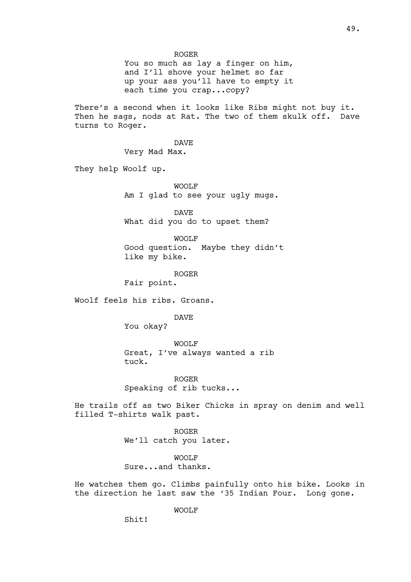## ROGER

You so much as lay a finger on him, and I'll shove your helmet so far up your ass you'll have to empty it each time you crap...copy?

There's a second when it looks like Ribs might not buy it. Then he sags, nods at Rat. The two of them skulk off. Dave turns to Roger.

> DAVE Very Mad Max.

They help Woolf up.

WOOLF Am I glad to see your ugly mugs.

DAVE What did you do to upset them?

WOOLF

Good question. Maybe they didn't like my bike.

ROGER

Fair point.

Woolf feels his ribs. Groans.

DAVE

You okay?

WOOLF Great, I've always wanted a rib tuck.

ROGER Speaking of rib tucks...

He trails off as two Biker Chicks in spray on denim and well filled T-shirts walk past.

> ROGER We'll catch you later.

> > WOOLF

Sure...and thanks.

He watches them go. Climbs painfully onto his bike. Looks in the direction he last saw the '35 Indian Four. Long gone.

WOOLF

Shit!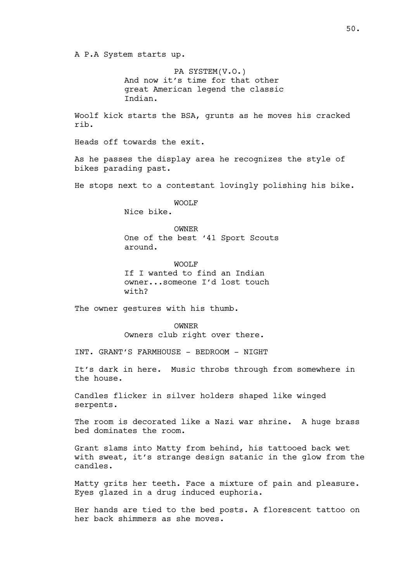A P.A System starts up.

PA SYSTEM(V.O.) And now it's time for that other great American legend the classic Indian.

Woolf kick starts the BSA, grunts as he moves his cracked rib.

Heads off towards the exit.

As he passes the display area he recognizes the style of bikes parading past.

He stops next to a contestant lovingly polishing his bike.

WOOLF Nice bike.

OWNER One of the best '41 Sport Scouts around.

WOOLF If I wanted to find an Indian owner...someone I'd lost touch with?

The owner gestures with his thumb.

OWNER Owners club right over there.

INT. GRANT'S FARMHOUSE - BEDROOM - NIGHT

It's dark in here. Music throbs through from somewhere in the house.

Candles flicker in silver holders shaped like winged serpents.

The room is decorated like a Nazi war shrine. A huge brass bed dominates the room.

Grant slams into Matty from behind, his tattooed back wet with sweat, it's strange design satanic in the glow from the candles.

Matty grits her teeth. Face a mixture of pain and pleasure. Eyes glazed in a drug induced euphoria.

Her hands are tied to the bed posts. A florescent tattoo on her back shimmers as she moves.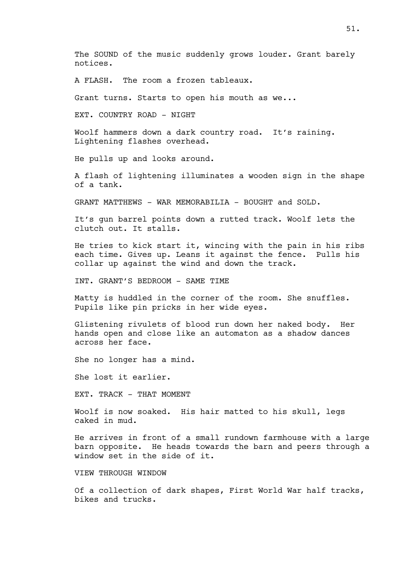The SOUND of the music suddenly grows louder. Grant barely notices.

A FLASH. The room a frozen tableaux.

Grant turns. Starts to open his mouth as we...

EXT. COUNTRY ROAD - NIGHT

Woolf hammers down a dark country road. It's raining. Lightening flashes overhead.

He pulls up and looks around.

A flash of lightening illuminates a wooden sign in the shape of a tank.

GRANT MATTHEWS - WAR MEMORABILIA - BOUGHT and SOLD.

It's gun barrel points down a rutted track. Woolf lets the clutch out. It stalls.

He tries to kick start it, wincing with the pain in his ribs each time. Gives up. Leans it against the fence. Pulls his collar up against the wind and down the track.

INT. GRANT'S BEDROOM - SAME TIME

Matty is huddled in the corner of the room. She snuffles. Pupils like pin pricks in her wide eyes.

Glistening rivulets of blood run down her naked body. Her hands open and close like an automaton as a shadow dances across her face.

She no longer has a mind.

She lost it earlier.

EXT. TRACK - THAT MOMENT

Woolf is now soaked. His hair matted to his skull, legs caked in mud.

He arrives in front of a small rundown farmhouse with a large barn opposite. He heads towards the barn and peers through a window set in the side of it.

VIEW THROUGH WINDOW

Of a collection of dark shapes, First World War half tracks, bikes and trucks.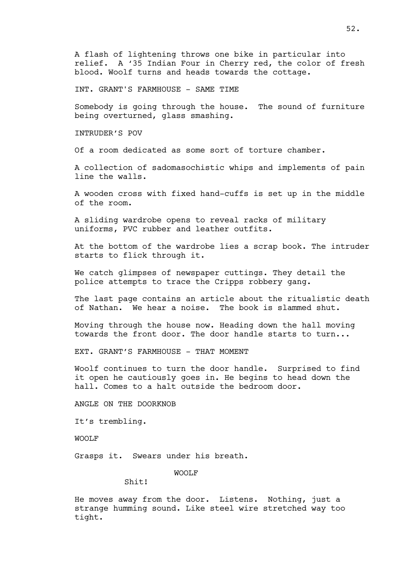INT. GRANT'S FARMHOUSE - SAME TIME

Somebody is going through the house. The sound of furniture being overturned, glass smashing.

INTRUDER'S POV

Of a room dedicated as some sort of torture chamber.

A collection of sadomasochistic whips and implements of pain line the walls.

A wooden cross with fixed hand-cuffs is set up in the middle of the room.

A sliding wardrobe opens to reveal racks of military uniforms, PVC rubber and leather outfits.

At the bottom of the wardrobe lies a scrap book. The intruder starts to flick through it.

We catch glimpses of newspaper cuttings. They detail the police attempts to trace the Cripps robbery gang.

The last page contains an article about the ritualistic death of Nathan. We hear a noise. The book is slammed shut.

Moving through the house now. Heading down the hall moving towards the front door. The door handle starts to turn...

EXT. GRANT'S FARMHOUSE - THAT MOMENT

Woolf continues to turn the door handle. Surprised to find it open he cautiously goes in. He begins to head down the hall. Comes to a halt outside the bedroom door.

ANGLE ON THE DOORKNOB

It's trembling.

WOOLF

Grasps it. Swears under his breath.

WOOLF

Shit!

He moves away from the door. Listens. Nothing, just a strange humming sound. Like steel wire stretched way too tight.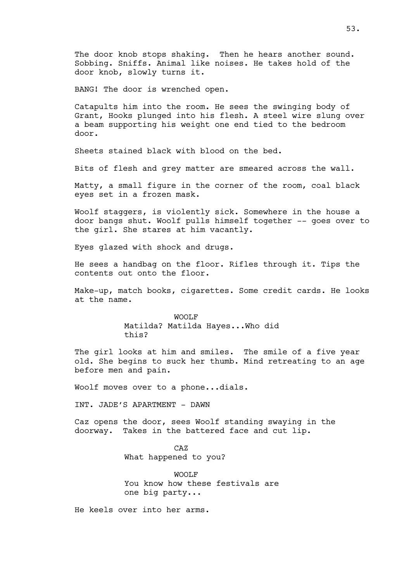The door knob stops shaking. Then he hears another sound. Sobbing. Sniffs. Animal like noises. He takes hold of the door knob, slowly turns it.

BANG! The door is wrenched open.

Catapults him into the room. He sees the swinging body of Grant, Hooks plunged into his flesh. A steel wire slung over a beam supporting his weight one end tied to the bedroom door.

Sheets stained black with blood on the bed.

Bits of flesh and grey matter are smeared across the wall.

Matty, a small figure in the corner of the room, coal black eyes set in a frozen mask.

Woolf staggers, is violently sick. Somewhere in the house a door bangs shut. Woolf pulls himself together -- goes over to the girl. She stares at him vacantly.

Eyes glazed with shock and drugs.

He sees a handbag on the floor. Rifles through it. Tips the contents out onto the floor.

Make-up, match books, cigarettes. Some credit cards. He looks at the name.

> WOOLF Matilda? Matilda Hayes...Who did this?

The girl looks at him and smiles. The smile of a five year old. She begins to suck her thumb. Mind retreating to an age before men and pain.

Woolf moves over to a phone...dials.

INT. JADE'S APARTMENT - DAWN

Caz opens the door, sees Woolf standing swaying in the doorway. Takes in the battered face and cut lip.

> CAZ What happened to you?

WOOLF You know how these festivals are one big party...

He keels over into her arms.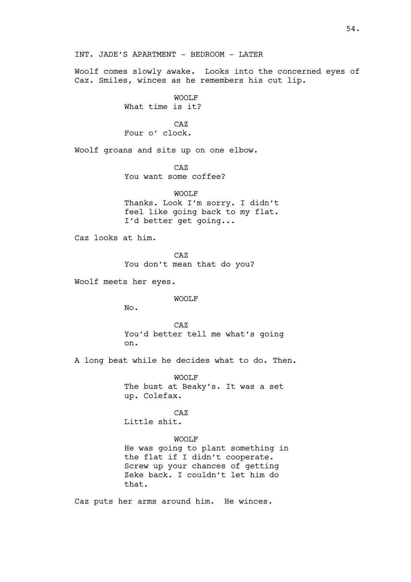Woolf comes slowly awake. Looks into the concerned eyes of Caz. Smiles, winces as he remembers his cut lip.

WOOLF

What time is it?

CAZ Four o' clock.

Woolf groans and sits up on one elbow.

CAZ

You want some coffee?

WOOLF

Thanks. Look I'm sorry. I didn't feel like going back to my flat. I'd better get going...

Caz looks at him.

CAZ You don't mean that do you?

Woolf meets her eyes.

WOOLF

No.

CAZ You'd better tell me what's going on.

A long beat while he decides what to do. Then.

WOOLF The bust at Beaky's. It was a set up. Colefax.

CAZ Little shit.

## WOOLF

He was going to plant something in the flat if I didn't cooperate. Screw up your chances of getting Zeke back. I couldn't let him do that.

Caz puts her arms around him. He winces.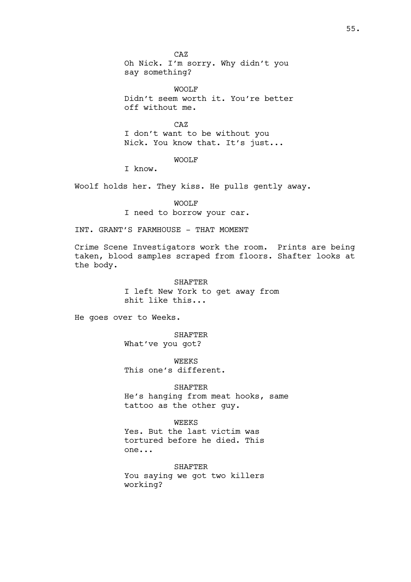CAZ Oh Nick. I'm sorry. Why didn't you say something?

WOOLF Didn't seem worth it. You're better off without me.

CAZ I don't want to be without you Nick. You know that. It's just...

# WOOLF

I know.

Woolf holds her. They kiss. He pulls gently away.

#### WOOLF

I need to borrow your car.

INT. GRANT'S FARMHOUSE - THAT MOMENT

Crime Scene Investigators work the room. Prints are being taken, blood samples scraped from floors. Shafter looks at the body.

# SHAFTER I left New York to get away from shit like this...

He goes over to Weeks.

SHAFTER What've you got?

WEEKS This one's different.

SHAFTER He's hanging from meat hooks, same tattoo as the other guy.

## WEEKS

Yes. But the last victim was tortured before he died. This one...

SHAFTER You saying we got two killers working?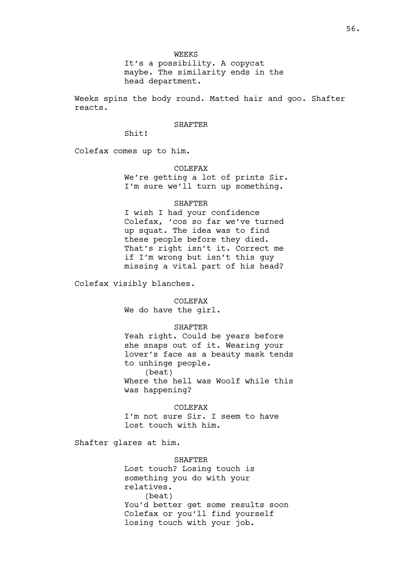It's a possibility. A copycat maybe. The similarity ends in the head department.

Weeks spins the body round. Matted hair and goo. Shafter reacts.

## **SHAFTER**

Shit!

Colefax comes up to him.

COLEFAX

We're getting a lot of prints Sir. I'm sure we'll turn up something.

#### **SHAFTER**

I wish I had your confidence Colefax, 'cos so far we've turned up squat. The idea was to find these people before they died. That's right isn't it. Correct me if I'm wrong but isn't this guy missing a vital part of his head?

Colefax visibly blanches.

COLEFAX We do have the girl.

#### SHAFTER

Yeah right. Could be years before she snaps out of it. Wearing your lover's face as a beauty mask tends to unhinge people. (beat) Where the hell was Woolf while this

was happening?

COLEFAX I'm not sure Sir. I seem to have lost touch with him.

Shafter glares at him.

**SHAFTER** Lost touch? Losing touch is something you do with your relatives. (beat) You'd better get some results soon Colefax or you'll find yourself losing touch with your job.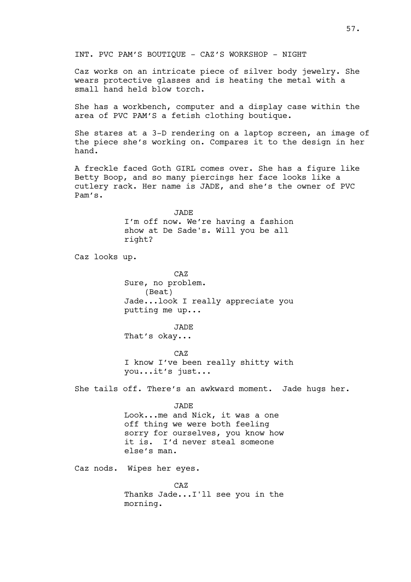INT. PVC PAM'S BOUTIQUE - CAZ'S WORKSHOP - NIGHT

Caz works on an intricate piece of silver body jewelry. She wears protective glasses and is heating the metal with a small hand held blow torch.

She has a workbench, computer and a display case within the area of PVC PAM'S a fetish clothing boutique.

She stares at a 3-D rendering on a laptop screen, an image of the piece she's working on. Compares it to the design in her hand.

A freckle faced Goth GIRL comes over. She has a figure like Betty Boop, and so many piercings her face looks like a cutlery rack. Her name is JADE, and she's the owner of PVC Pam's.

> JADE I'm off now. We're having a fashion show at De Sade's. Will you be all right?

Caz looks up.

CAZ Sure, no problem. (Beat) Jade...look I really appreciate you putting me up...

JADE That's okay...

CAZ I know I've been really shitty with you...it's just...

She tails off. There's an awkward moment. Jade hugs her.

JADE

Look...me and Nick, it was a one off thing we were both feeling sorry for ourselves, you know how it is. I'd never steal someone else's man.

Caz nods. Wipes her eyes.

CAZ Thanks Jade...I'll see you in the morning.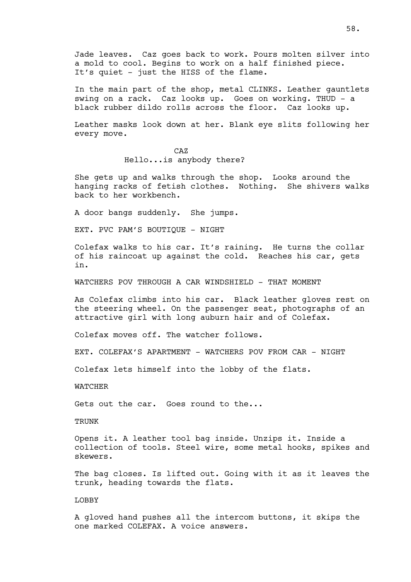Jade leaves. Caz goes back to work. Pours molten silver into a mold to cool. Begins to work on a half finished piece. It's quiet - just the HISS of the flame.

In the main part of the shop, metal CLINKS. Leather gauntlets swing on a rack. Caz looks up. Goes on working. THUD - a black rubber dildo rolls across the floor. Caz looks up.

Leather masks look down at her. Blank eye slits following her every move.

> CAZ Hello...is anybody there?

She gets up and walks through the shop. Looks around the hanging racks of fetish clothes. Nothing. She shivers walks back to her workbench.

A door bangs suddenly. She jumps.

EXT. PVC PAM'S BOUTIQUE - NIGHT

Colefax walks to his car. It's raining. He turns the collar of his raincoat up against the cold. Reaches his car, gets in.

WATCHERS POV THROUGH A CAR WINDSHIELD - THAT MOMENT

As Colefax climbs into his car. Black leather gloves rest on the steering wheel. On the passenger seat, photographs of an attractive girl with long auburn hair and of Colefax.

Colefax moves off. The watcher follows.

EXT. COLEFAX'S APARTMENT - WATCHERS POV FROM CAR - NIGHT

Colefax lets himself into the lobby of the flats.

WATCHER

Gets out the car. Goes round to the...

**TRUNK** 

Opens it. A leather tool bag inside. Unzips it. Inside a collection of tools. Steel wire, some metal hooks, spikes and skewers.

The bag closes. Is lifted out. Going with it as it leaves the trunk, heading towards the flats.

LOBBY

A gloved hand pushes all the intercom buttons, it skips the one marked COLEFAX. A voice answers.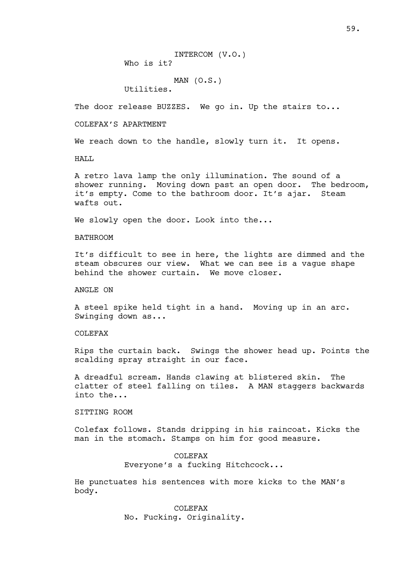INTERCOM (V.O.) Who is it?

MAN (O.S.)

Utilities.

The door release BUZZES. We go in. Up the stairs to...

COLEFAX'S APARTMENT

We reach down to the handle, slowly turn it. It opens.

HALL

A retro lava lamp the only illumination. The sound of a shower running. Moving down past an open door. The bedroom, it's empty. Come to the bathroom door. It's ajar. Steam wafts out.

We slowly open the door. Look into the...

BATHROOM

It's difficult to see in here, the lights are dimmed and the steam obscures our view. What we can see is a vague shape behind the shower curtain. We move closer.

ANGLE ON

A steel spike held tight in a hand. Moving up in an arc. Swinging down as...

COLEFAX

Rips the curtain back. Swings the shower head up. Points the scalding spray straight in our face.

A dreadful scream. Hands clawing at blistered skin. The clatter of steel falling on tiles. A MAN staggers backwards into the...

SITTING ROOM

Colefax follows. Stands dripping in his raincoat. Kicks the man in the stomach. Stamps on him for good measure.

> COLEFAX Everyone's a fucking Hitchcock...

He punctuates his sentences with more kicks to the MAN's body.

> COLEFAX No. Fucking. Originality.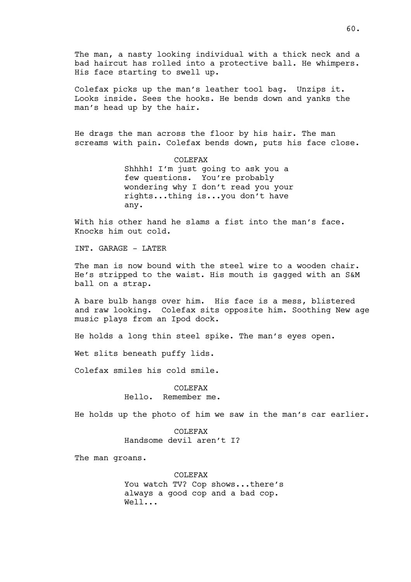The man, a nasty looking individual with a thick neck and a bad haircut has rolled into a protective ball. He whimpers. His face starting to swell up.

Colefax picks up the man's leather tool bag. Unzips it. Looks inside. Sees the hooks. He bends down and yanks the man's head up by the hair.

He drags the man across the floor by his hair. The man screams with pain. Colefax bends down, puts his face close.

> COLEFAX Shhhh! I'm just going to ask you a few questions. You're probably wondering why I don't read you your rights...thing is...you don't have any.

With his other hand he slams a fist into the man's face. Knocks him out cold.

INT. GARAGE - LATER

The man is now bound with the steel wire to a wooden chair. He's stripped to the waist. His mouth is gagged with an S&M ball on a strap.

A bare bulb hangs over him. His face is a mess, blistered and raw looking. Colefax sits opposite him. Soothing New age music plays from an Ipod dock.

He holds a long thin steel spike. The man's eyes open.

Wet slits beneath puffy lids.

Colefax smiles his cold smile.

COLEFAX Hello. Remember me.

He holds up the photo of him we saw in the man's car earlier.

COLEFAX Handsome devil aren't I?

The man groans.

COLEFAX You watch TV? Cop shows...there's always a good cop and a bad cop. Well...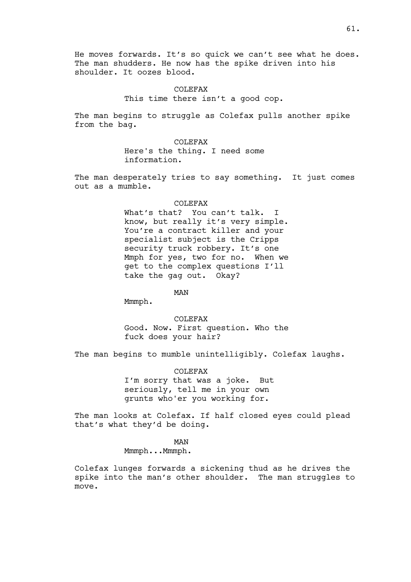He moves forwards. It's so quick we can't see what he does. The man shudders. He now has the spike driven into his shoulder. It oozes blood.

> COLEFAX This time there isn't a good cop.

The man begins to struggle as Colefax pulls another spike from the bag.

> COLEFAX Here's the thing. I need some information.

The man desperately tries to say something. It just comes out as a mumble.

#### COLEFAX

What's that? You can't talk. I know, but really it's very simple. You're a contract killer and your specialist subject is the Cripps security truck robbery. It's one Mmph for yes, two for no. When we get to the complex questions I'll take the gag out. Okay?

MAN

Mmmph.

COLEFAX Good. Now. First question. Who the fuck does your hair?

The man begins to mumble unintelligibly. Colefax laughs.

COLEFAX I'm sorry that was a joke. But seriously, tell me in your own grunts who'er you working for.

The man looks at Colefax. If half closed eyes could plead that's what they'd be doing.

MAN

Mmmph...Mmmph.

Colefax lunges forwards a sickening thud as he drives the spike into the man's other shoulder. The man struggles to move.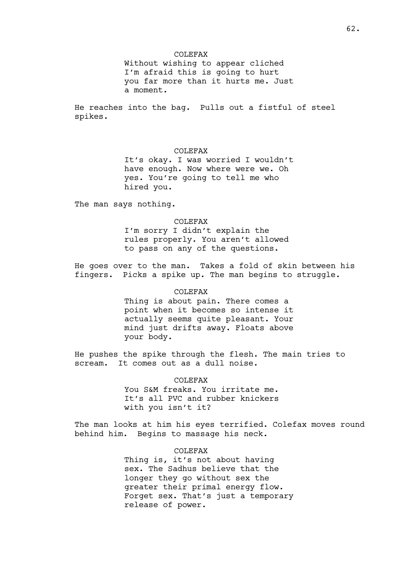## COLEFAX

Without wishing to appear cliched I'm afraid this is going to hurt you far more than it hurts me. Just a moment.

He reaches into the bag. Pulls out a fistful of steel spikes.

## COLEFAX

It's okay. I was worried I wouldn't have enough. Now where were we. Oh yes. You're going to tell me who hired you.

The man says nothing.

# COLEFAX I'm sorry I didn't explain the rules properly. You aren't allowed to pass on any of the questions.

He goes over to the man. Takes a fold of skin between his fingers. Picks a spike up. The man begins to struggle.

## COLEFAX

Thing is about pain. There comes a point when it becomes so intense it actually seems quite pleasant. Your mind just drifts away. Floats above your body.

He pushes the spike through the flesh. The main tries to scream. It comes out as a dull noise.

> COLEFAX You S&M freaks. You irritate me. It's all PVC and rubber knickers with you isn't it?

The man looks at him his eyes terrified. Colefax moves round behind him. Begins to massage his neck.

# COLEFAX

Thing is, it's not about having sex. The Sadhus believe that the longer they go without sex the greater their primal energy flow. Forget sex. That's just a temporary release of power.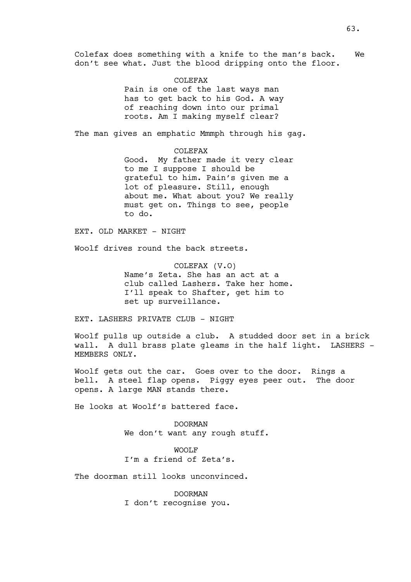Colefax does something with a knife to the man's back. We don't see what. Just the blood dripping onto the floor.

> COLEFAX Pain is one of the last ways man has to get back to his God. A way of reaching down into our primal roots. Am I making myself clear?

The man gives an emphatic Mmmph through his gag.

COLEFAX Good. My father made it very clear to me I suppose I should be grateful to him. Pain's given me a lot of pleasure. Still, enough about me. What about you? We really must get on. Things to see, people to do.

EXT. OLD MARKET - NIGHT

Woolf drives round the back streets.

COLEFAX (V.O) Name's Zeta. She has an act at a club called Lashers. Take her home. I'll speak to Shafter, get him to set up surveillance.

EXT. LASHERS PRIVATE CLUB - NIGHT

Woolf pulls up outside a club. A studded door set in a brick wall. A dull brass plate gleams in the half light. LASHERS -MEMBERS ONLY.

Woolf gets out the car. Goes over to the door. Rings a bell. A steel flap opens. Piggy eyes peer out. The door opens. A large MAN stands there.

He looks at Woolf's battered face.

DOORMAN We don't want any rough stuff.

WOOLF I'm a friend of Zeta's.

The doorman still looks unconvinced.

DOORMAN I don't recognise you.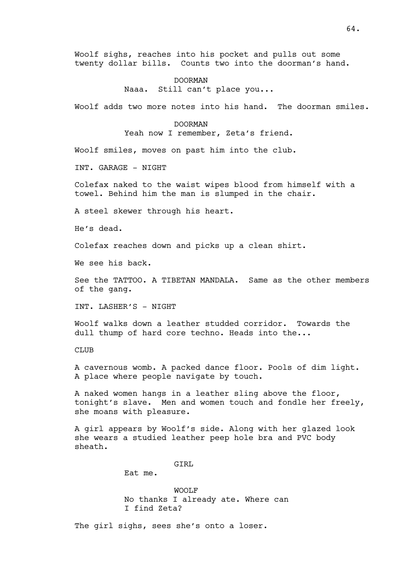Woolf sighs, reaches into his pocket and pulls out some twenty dollar bills. Counts two into the doorman's hand.

> DOORMAN Naaa. Still can't place you...

Woolf adds two more notes into his hand. The doorman smiles.

DOORMAN

Yeah now I remember, Zeta's friend.

Woolf smiles, moves on past him into the club.

INT. GARAGE - NIGHT

Colefax naked to the waist wipes blood from himself with a towel. Behind him the man is slumped in the chair.

A steel skewer through his heart.

He's dead.

Colefax reaches down and picks up a clean shirt.

We see his back.

See the TATTOO. A TIBETAN MANDALA. Same as the other members of the gang.

INT. LASHER'S - NIGHT

Woolf walks down a leather studded corridor. Towards the dull thump of hard core techno. Heads into the...

CLUB

A cavernous womb. A packed dance floor. Pools of dim light. A place where people navigate by touch.

A naked women hangs in a leather sling above the floor, tonight's slave. Men and women touch and fondle her freely, she moans with pleasure.

A girl appears by Woolf's side. Along with her glazed look she wears a studied leather peep hole bra and PVC body sheath.

GTRL

Eat me.

WOOLF No thanks I already ate. Where can I find Zeta?

The girl sighs, sees she's onto a loser.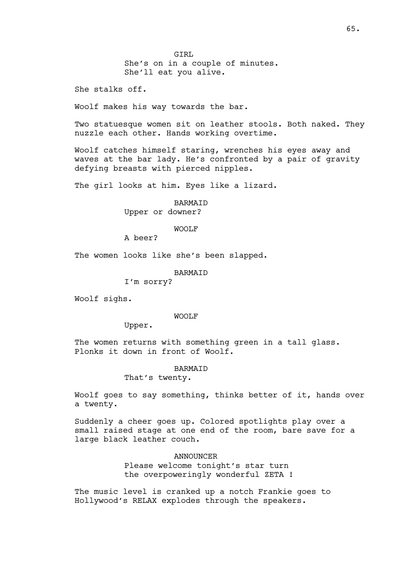GIRL She's on in a couple of minutes. She'll eat you alive.

She stalks off.

Woolf makes his way towards the bar.

Two statuesque women sit on leather stools. Both naked. They nuzzle each other. Hands working overtime.

Woolf catches himself staring, wrenches his eyes away and waves at the bar lady. He's confronted by a pair of gravity defying breasts with pierced nipples.

The girl looks at him. Eyes like a lizard.

**BARMATD** Upper or downer?

WOOLF

A beer?

The women looks like she's been slapped.

BARMAID

I'm sorry?

Woolf sighs.

WOOLF

Upper.

The women returns with something green in a tall glass. Plonks it down in front of Woolf.

## BARMAID

That's twenty.

Woolf goes to say something, thinks better of it, hands over a twenty.

Suddenly a cheer goes up. Colored spotlights play over a small raised stage at one end of the room, bare save for a large black leather couch.

> ANNOUNCER Please welcome tonight's star turn the overpoweringly wonderful ZETA !

The music level is cranked up a notch Frankie goes to Hollywood's RELAX explodes through the speakers.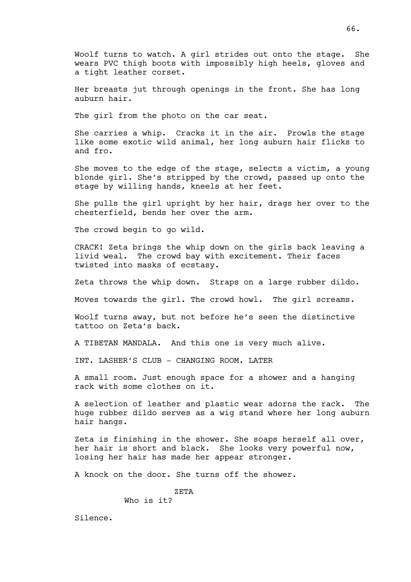Woolf turns to watch. A girl strides out onto the stage. She wears PVC thigh boots with impossibly high heels, gloves and a tight leather corset.

Her breasts jut through openings in the front. She has long auburn hair.

The girl from the photo on the car seat.

She carries a whip. Cracks it in the air. Prowls the stage like some exotic wild animal, her long auburn hair flicks to and fro.

She moves to the edge of the stage, selects a victim, a young blonde girl. She's stripped by the crowd, passed up onto the stage by willing hands, kneels at her feet.

She pulls the girl upright by her hair, drags her over to the chesterfield, bends her over the arm.

The crowd begin to go wild.

CRACK! Zeta brings the whip down on the girls back leaving a livid weal. The crowd bay with excitement. Their faces twisted into masks of ecstasy.

Zeta throws the whip down. Straps on a large rubber dildo.

Moves towards the girl. The crowd howl. The girl screams.

Woolf turns away, but not before he's seen the distinctive tattoo on Zeta's back.

A TIBETAN MANDALA. And this one is very much alive.

INT. LASHER'S CLUB - CHANGING ROOM. LATER

A small room. Just enough space for a shower and a hanging rack with some clothes on it.

A selection of leather and plastic wear adorns the rack. The huge rubber dildo serves as a wig stand where her long auburn hair hangs.

Zeta is finishing in the shower. She soaps herself all over, her hair is short and black. She looks very powerful now, losing her hair has made her appear stronger.

A knock on the door. She turns off the shower.

ZETA Who is it?

Silence.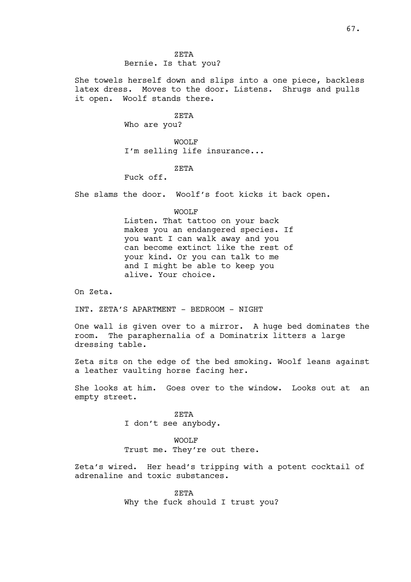ZETA Bernie. Is that you?

She towels herself down and slips into a one piece, backless latex dress. Moves to the door. Listens. Shrugs and pulls it open. Woolf stands there.

#### ZETA

Who are you?

WOOLF I'm selling life insurance...

## ZETA

Fuck off.

She slams the door. Woolf's foot kicks it back open.

#### WOOLF

Listen. That tattoo on your back makes you an endangered species. If you want I can walk away and you can become extinct like the rest of your kind. Or you can talk to me and I might be able to keep you alive. Your choice.

On Zeta.

INT. ZETA'S APARTMENT - BEDROOM - NIGHT

One wall is given over to a mirror. A huge bed dominates the room. The paraphernalia of a Dominatrix litters a large dressing table.

Zeta sits on the edge of the bed smoking. Woolf leans against a leather vaulting horse facing her.

She looks at him. Goes over to the window. Looks out at an empty street.

> ZETA I don't see anybody.

## WOOLF

Trust me. They're out there.

Zeta's wired. Her head's tripping with a potent cocktail of adrenaline and toxic substances.

> ZETA Why the fuck should I trust you?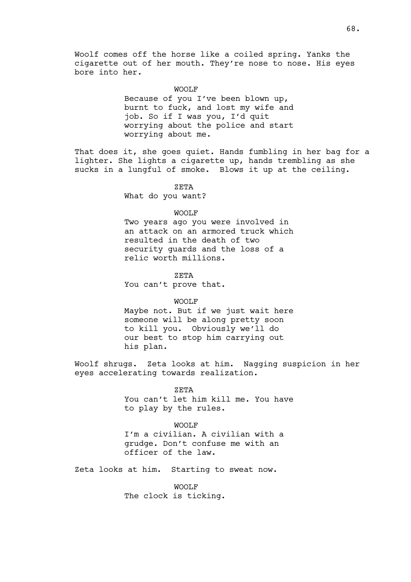Woolf comes off the horse like a coiled spring. Yanks the cigarette out of her mouth. They're nose to nose. His eyes bore into her.

#### WOOLF

Because of you I've been blown up, burnt to fuck, and lost my wife and job. So if I was you, I'd quit worrying about the police and start worrying about me.

That does it, she goes quiet. Hands fumbling in her bag for a lighter. She lights a cigarette up, hands trembling as she sucks in a lungful of smoke. Blows it up at the ceiling.

#### ZETA

What do you want?

## WOOLF

Two years ago you were involved in an attack on an armored truck which resulted in the death of two security guards and the loss of a relic worth millions.

ZETA

You can't prove that.

#### WOOLF

Maybe not. But if we just wait here someone will be along pretty soon to kill you. Obviously we'll do our best to stop him carrying out his plan.

Woolf shrugs. Zeta looks at him. Nagging suspicion in her eyes accelerating towards realization.

> ZETA You can't let him kill me. You have to play by the rules.

#### WOOLF

I'm a civilian. A civilian with a grudge. Don't confuse me with an officer of the law.

Zeta looks at him. Starting to sweat now.

WOOLF The clock is ticking.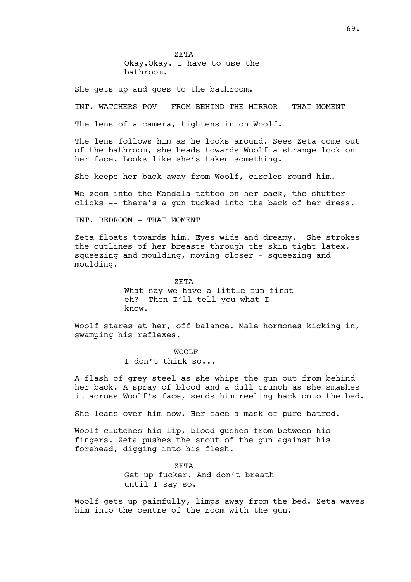ZETA Okay.Okay. I have to use the bathroom.

She gets up and goes to the bathroom.

INT. WATCHERS POV - FROM BEHIND THE MIRROR - THAT MOMENT

The lens of a camera, tightens in on Woolf.

The lens follows him as he looks around. Sees Zeta come out of the bathroom, she heads towards Woolf a strange look on her face. Looks like she's taken something.

She keeps her back away from Woolf, circles round him.

We zoom into the Mandala tattoo on her back, the shutter clicks -- there's a gun tucked into the back of her dress.

INT. BEDROOM - THAT MOMENT

Zeta floats towards him. Eyes wide and dreamy. She strokes the outlines of her breasts through the skin tight latex, squeezing and moulding, moving closer - squeezing and moulding.

> ZETA What say we have a little fun first eh? Then I'll tell you what I know.

Woolf stares at her, off balance. Male hormones kicking in, swamping his reflexes.

> WOOLF I don't think so...

A flash of grey steel as she whips the gun out from behind her back. A spray of blood and a dull crunch as she smashes it across Woolf's face, sends him reeling back onto the bed.

She leans over him now. Her face a mask of pure hatred.

Woolf clutches his lip, blood gushes from between his fingers. Zeta pushes the snout of the gun against his forehead, digging into his flesh.

> ZETA Get up fucker. And don't breath until I say so.

Woolf gets up painfully, limps away from the bed. Zeta waves him into the centre of the room with the gun.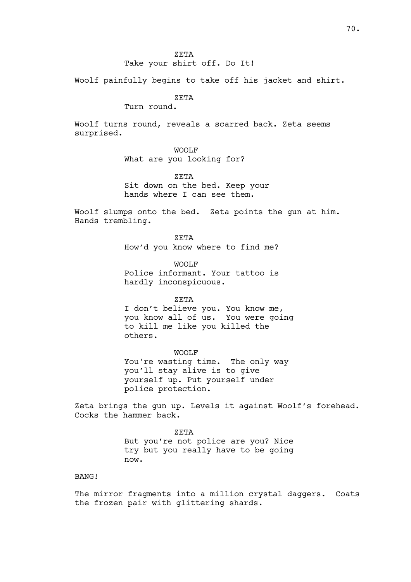## Take your shirt off. Do It!

Woolf painfully begins to take off his jacket and shirt.

# ZETA

Turn round.

Woolf turns round, reveals a scarred back. Zeta seems surprised.

# WOOLF

What are you looking for?

ZETA

Sit down on the bed. Keep your hands where I can see them.

Woolf slumps onto the bed. Zeta points the gun at him. Hands trembling.

> ZETA How'd you know where to find me?

> WOOLF Police informant. Your tattoo is hardly inconspicuous.

> > ZETA

I don't believe you. You know me, you know all of us. You were going to kill me like you killed the others.

WOOLF You're wasting time. The only way you'll stay alive is to give yourself up. Put yourself under police protection.

Zeta brings the gun up. Levels it against Woolf's forehead. Cocks the hammer back.

> ZETA But you're not police are you? Nice try but you really have to be going now.

# BANG!

The mirror fragments into a million crystal daggers. Coats the frozen pair with glittering shards.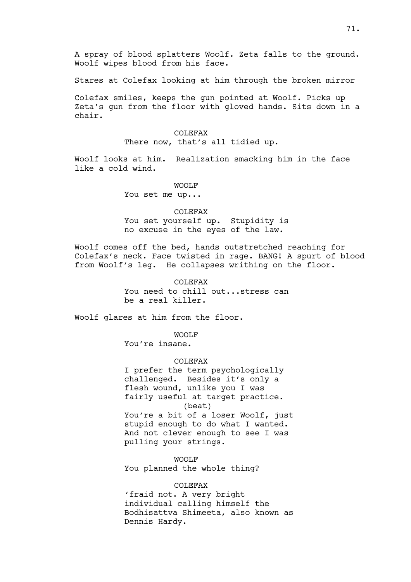A spray of blood splatters Woolf. Zeta falls to the ground. Woolf wipes blood from his face.

Stares at Colefax looking at him through the broken mirror

Colefax smiles, keeps the gun pointed at Woolf. Picks up Zeta's gun from the floor with gloved hands. Sits down in a chair.

> COLEFAX There now, that's all tidied up.

Woolf looks at him. Realization smacking him in the face like a cold wind.

WOOLF

You set me up...

COLEFAX You set yourself up. Stupidity is no excuse in the eyes of the law.

Woolf comes off the bed, hands outstretched reaching for Colefax's neck. Face twisted in rage. BANG! A spurt of blood from Woolf's leg. He collapses writhing on the floor.

## COLEFAX

You need to chill out...stress can be a real killer.

Woolf glares at him from the floor.

WOOLF

You're insane.

COLEFAX

I prefer the term psychologically challenged. Besides it's only a flesh wound, unlike you I was fairly useful at target practice. (beat) You're a bit of a loser Woolf, just stupid enough to do what I wanted. And not clever enough to see I was pulling your strings.

WOOLF You planned the whole thing?

#### COLEFAX

'fraid not. A very bright individual calling himself the Bodhisattva Shimeeta, also known as Dennis Hardy.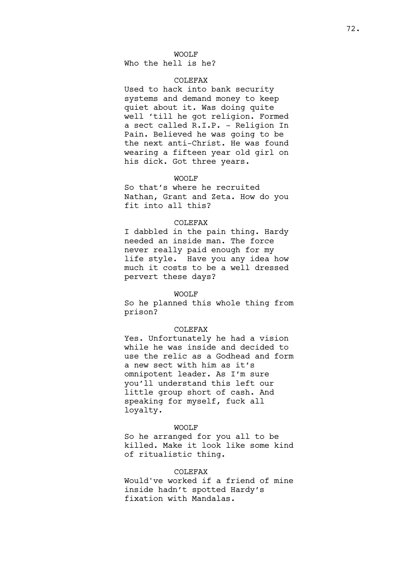### WOOLF

Who the hell is he?

# COLEFAX

Used to hack into bank security systems and demand money to keep quiet about it. Was doing quite well 'till he got religion. Formed a sect called R.I.P. - Religion In Pain. Believed he was going to be the next anti-Christ. He was found wearing a fifteen year old girl on his dick. Got three years.

### WOOLF

So that's where he recruited Nathan, Grant and Zeta. How do you fit into all this?

#### COLEFAX

I dabbled in the pain thing. Hardy needed an inside man. The force never really paid enough for my life style. Have you any idea how much it costs to be a well dressed pervert these days?

#### WOOLF

So he planned this whole thing from prison?

## COLEFAX

Yes. Unfortunately he had a vision while he was inside and decided to use the relic as a Godhead and form a new sect with him as it's omnipotent leader. As I'm sure you'll understand this left our little group short of cash. And speaking for myself, fuck all loyalty.

## WOOLF

So he arranged for you all to be killed. Make it look like some kind of ritualistic thing.

## COLEFAX

Would've worked if a friend of mine inside hadn't spotted Hardy's fixation with Mandalas.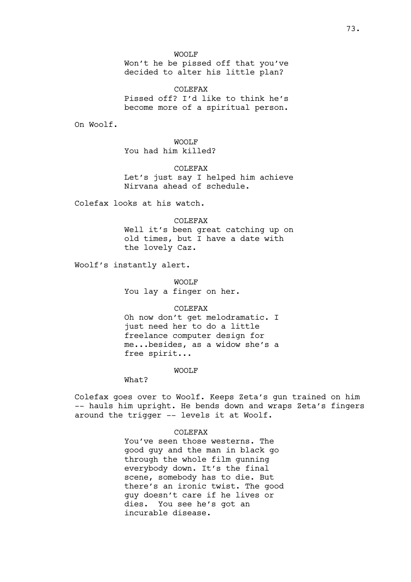Won't he be pissed off that you've decided to alter his little plan?

COLEFAX Pissed off? I'd like to think he's become more of a spiritual person.

On Woolf.

WOOLF You had him killed?

COLEFAX Let's just say I helped him achieve Nirvana ahead of schedule.

Colefax looks at his watch.

COLEFAX Well it's been great catching up on old times, but I have a date with the lovely Caz.

Woolf's instantly alert.

WOOLF You lay a finger on her.

COLEFAX

Oh now don't get melodramatic. I just need her to do a little freelance computer design for me...besides, as a widow she's a free spirit...

WOOLF

What?

Colefax goes over to Woolf. Keeps Zeta's gun trained on him -- hauls him upright. He bends down and wraps Zeta's fingers around the trigger -- levels it at Woolf.

COLEFAX

You've seen those westerns. The good guy and the man in black go through the whole film gunning everybody down. It's the final scene, somebody has to die. But there's an ironic twist. The good guy doesn't care if he lives or dies. You see he's got an incurable disease.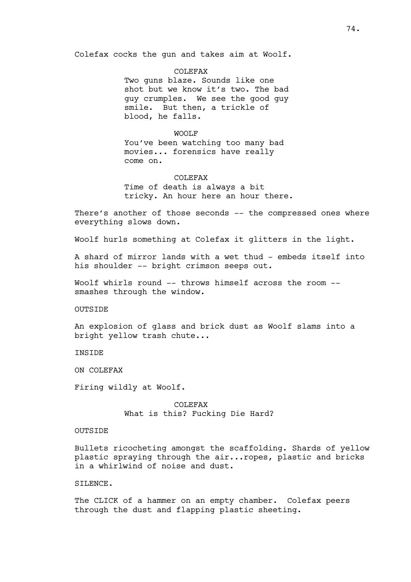Colefax cocks the gun and takes aim at Woolf.

COLEFAX Two guns blaze. Sounds like one shot but we know it's two. The bad guy crumples. We see the good guy smile. But then, a trickle of blood, he falls.

#### WOOLF

You've been watching too many bad movies... forensics have really come on.

### COLEFAX

Time of death is always a bit tricky. An hour here an hour there.

There's another of those seconds -- the compressed ones where everything slows down.

Woolf hurls something at Colefax it glitters in the light.

A shard of mirror lands with a wet thud - embeds itself into his shoulder -- bright crimson seeps out.

Woolf whirls round -- throws himself across the room -smashes through the window.

OUTSIDE

An explosion of glass and brick dust as Woolf slams into a bright yellow trash chute...

**TNSTDE** 

ON COLEFAX

Firing wildly at Woolf.

COLEFAX What is this? Fucking Die Hard?

### OUTSIDE

Bullets ricocheting amongst the scaffolding. Shards of yellow plastic spraying through the air...ropes, plastic and bricks in a whirlwind of noise and dust.

## SILENCE.

The CLICK of a hammer on an empty chamber. Colefax peers through the dust and flapping plastic sheeting.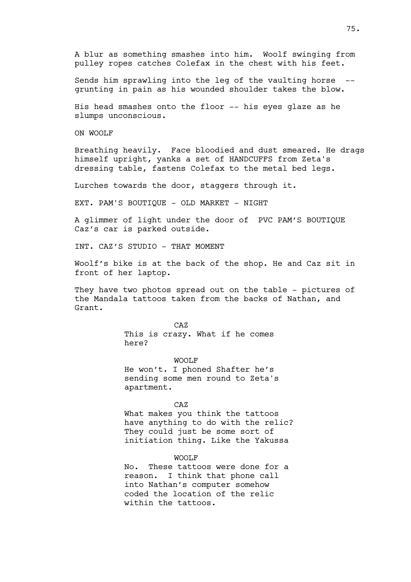A blur as something smashes into him. Woolf swinging from pulley ropes catches Colefax in the chest with his feet.

Sends him sprawling into the leg of the vaulting horse - grunting in pain as his wounded shoulder takes the blow.

His head smashes onto the floor -- his eyes glaze as he slumps unconscious.

ON WOOLF

Breathing heavily. Face bloodied and dust smeared. He drags himself upright, yanks a set of HANDCUFFS from Zeta's dressing table, fastens Colefax to the metal bed legs.

Lurches towards the door, staggers through it.

EXT. PAM'S BOUTIQUE - OLD MARKET - NIGHT

A glimmer of light under the door of PVC PAM'S BOUTIQUE Caz's car is parked outside.

INT. CAZ'S STUDIO - THAT MOMENT

Woolf's bike is at the back of the shop. He and Caz sit in front of her laptop.

They have two photos spread out on the table - pictures of the Mandala tattoos taken from the backs of Nathan, and Grant.

CAZ

This is crazy. What if he comes here?

WOOLF He won't. I phoned Shafter he's sending some men round to Zeta's apartment.

CAZ

What makes you think the tattoos have anything to do with the relic? They could just be some sort of initiation thing. Like the Yakussa

WOOLF

No. These tattoos were done for a reason. I think that phone call into Nathan's computer somehow coded the location of the relic within the tattoos.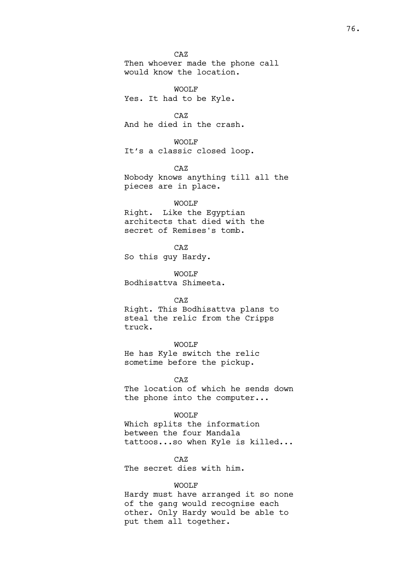CAZ Then whoever made the phone call would know the location.

WOOLF Yes. It had to be Kyle.

CAZ And he died in the crash.

WOOLF

It's a classic closed loop.

CAZ

Nobody knows anything till all the pieces are in place.

WOOLF

Right. Like the Egyptian architects that died with the secret of Remises's tomb.

CAZ So this guy Hardy.

WOOLF Bodhisattva Shimeeta.

CAZ

Right. This Bodhisattva plans to steal the relic from the Cripps truck.

WOOLF

He has Kyle switch the relic sometime before the pickup.

CAZ The location of which he sends down the phone into the computer...

WOOLF

Which splits the information between the four Mandala tattoos...so when Kyle is killed...

CAZ

The secret dies with him.

### WOOLF

Hardy must have arranged it so none of the gang would recognise each other. Only Hardy would be able to put them all together.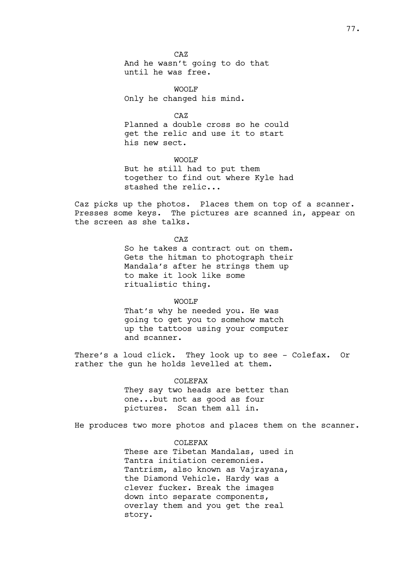CAZ And he wasn't going to do that until he was free.

WOOLF Only he changed his mind.

 $C<sub>A</sub>Z$ Planned a double cross so he could get the relic and use it to start his new sect.

WOOLF But he still had to put them together to find out where Kyle had stashed the relic...

Caz picks up the photos. Places them on top of a scanner. Presses some keys. The pictures are scanned in, appear on the screen as she talks.

> CAZ So he takes a contract out on them. Gets the hitman to photograph their Mandala's after he strings them up to make it look like some ritualistic thing.

#### WOOLF

That's why he needed you. He was going to get you to somehow match up the tattoos using your computer and scanner.

There's a loud click. They look up to see - Colefax. Or rather the gun he holds levelled at them.

> COLEFAX They say two heads are better than one...but not as good as four pictures. Scan them all in.

He produces two more photos and places them on the scanner.

## COLEFAX

These are Tibetan Mandalas, used in Tantra initiation ceremonies. Tantrism, also known as Vajrayana, the Diamond Vehicle. Hardy was a clever fucker. Break the images down into separate components, overlay them and you get the real story.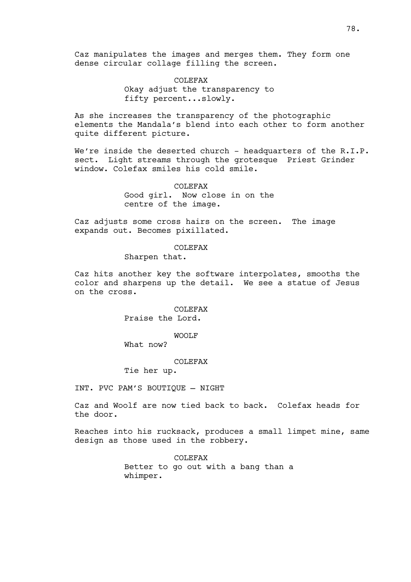Caz manipulates the images and merges them. They form one dense circular collage filling the screen.

> COLEFAX Okay adjust the transparency to fifty percent...slowly.

As she increases the transparency of the photographic elements the Mandala's blend into each other to form another quite different picture.

We're inside the deserted church - headquarters of the R.I.P. sect. Light streams through the grotesque Priest Grinder window. Colefax smiles his cold smile.

> COLEFAX Good girl. Now close in on the centre of the image.

Caz adjusts some cross hairs on the screen. The image expands out. Becomes pixillated.

COLEFAX

Sharpen that.

Caz hits another key the software interpolates, smooths the color and sharpens up the detail. We see a statue of Jesus on the cross.

> COLEFAX Praise the Lord.

> > WOOLF

What now?

COLEFAX

Tie her up.

INT. PVC PAM'S BOUTIQUE — NIGHT

Caz and Woolf are now tied back to back. Colefax heads for the door.

Reaches into his rucksack, produces a small limpet mine, same design as those used in the robbery.

> COLEFAX Better to go out with a bang than a whimper.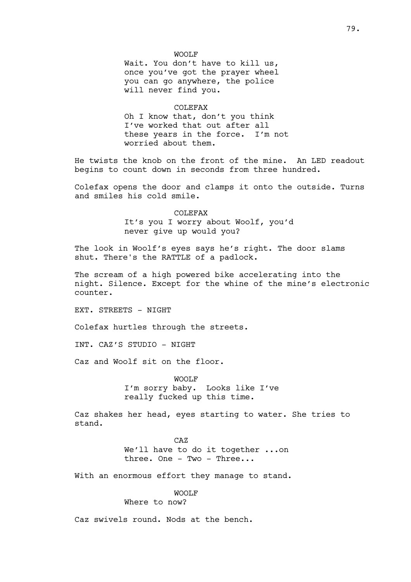#### WOOLF

Wait. You don't have to kill us, once you've got the prayer wheel you can go anywhere, the police will never find you.

#### COLEFAX

Oh I know that, don't you think I've worked that out after all these years in the force. I'm not worried about them.

He twists the knob on the front of the mine. An LED readout begins to count down in seconds from three hundred.

Colefax opens the door and clamps it onto the outside. Turns and smiles his cold smile.

> COLEFAX It's you I worry about Woolf, you'd never give up would you?

The look in Woolf's eyes says he's right. The door slams shut. There's the RATTLE of a padlock.

The scream of a high powered bike accelerating into the night. Silence. Except for the whine of the mine's electronic counter.

EXT. STREETS - NIGHT

Colefax hurtles through the streets.

INT. CAZ'S STUDIO - NIGHT

Caz and Woolf sit on the floor.

WOOLF I'm sorry baby. Looks like I've really fucked up this time.

Caz shakes her head, eyes starting to water. She tries to stand.

> CAZ We'll have to do it together ...on three. One - Two - Three...

With an enormous effort they manage to stand.

#### WOOLF

## Where to now?

Caz swivels round. Nods at the bench.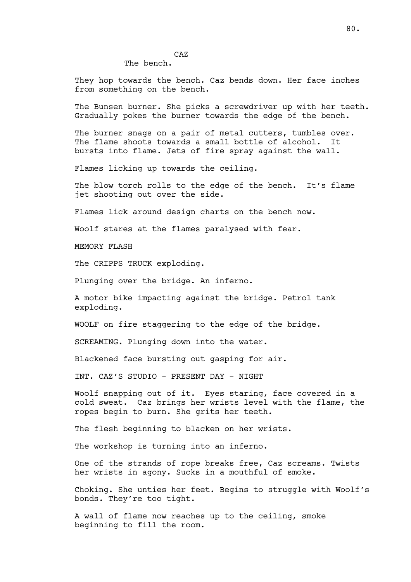# CAZ

## The bench.

They hop towards the bench. Caz bends down. Her face inches from something on the bench.

The Bunsen burner. She picks a screwdriver up with her teeth. Gradually pokes the burner towards the edge of the bench.

The burner snags on a pair of metal cutters, tumbles over. The flame shoots towards a small bottle of alcohol. It bursts into flame. Jets of fire spray against the wall.

Flames licking up towards the ceiling.

The blow torch rolls to the edge of the bench. It's flame jet shooting out over the side.

Flames lick around design charts on the bench now.

Woolf stares at the flames paralysed with fear.

MEMORY FLASH

The CRIPPS TRUCK exploding.

Plunging over the bridge. An inferno.

A motor bike impacting against the bridge. Petrol tank exploding.

WOOLF on fire staggering to the edge of the bridge.

SCREAMING. Plunging down into the water.

Blackened face bursting out gasping for air.

INT. CAZ'S STUDIO - PRESENT DAY - NIGHT

Woolf snapping out of it. Eyes staring, face covered in a cold sweat. Caz brings her wrists level with the flame, the ropes begin to burn. She grits her teeth.

The flesh beginning to blacken on her wrists.

The workshop is turning into an inferno.

One of the strands of rope breaks free, Caz screams. Twists her wrists in agony. Sucks in a mouthful of smoke.

Choking. She unties her feet. Begins to struggle with Woolf's bonds. They're too tight.

A wall of flame now reaches up to the ceiling, smoke beginning to fill the room.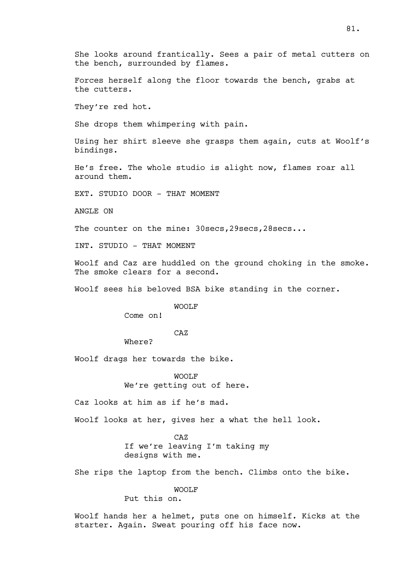She looks around frantically. Sees a pair of metal cutters on the bench, surrounded by flames.

Forces herself along the floor towards the bench, grabs at the cutters.

They're red hot.

She drops them whimpering with pain.

Using her shirt sleeve she grasps them again, cuts at Woolf's bindings.

He's free. The whole studio is alight now, flames roar all around them.

EXT. STUDIO DOOR - THAT MOMENT

ANGLE ON

The counter on the mine: 30secs, 29secs, 28secs...

INT. STUDIO - THAT MOMENT

Woolf and Caz are huddled on the ground choking in the smoke. The smoke clears for a second.

Woolf sees his beloved BSA bike standing in the corner.

WOOLF

Come on!

# CAZ

Where?

Woolf drags her towards the bike.

WOOLF We're getting out of here.

Caz looks at him as if he's mad.

Woolf looks at her, gives her a what the hell look.

CAZ If we're leaving I'm taking my designs with me.

She rips the laptop from the bench. Climbs onto the bike.

WOOLF

Put this on.

Woolf hands her a helmet, puts one on himself. Kicks at the starter. Again. Sweat pouring off his face now.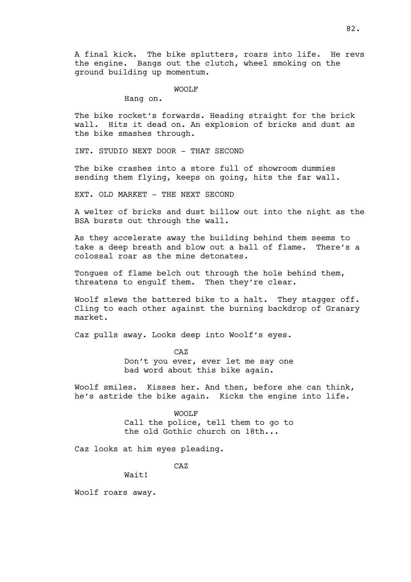A final kick. The bike splutters, roars into life. He revs the engine. Bangs out the clutch, wheel smoking on the ground building up momentum.

WOOLF

Hang on.

The bike rocket's forwards. Heading straight for the brick wall. Hits it dead on. An explosion of bricks and dust as the bike smashes through.

INT. STUDIO NEXT DOOR - THAT SECOND

The bike crashes into a store full of showroom dummies sending them flying, keeps on going, hits the far wall.

EXT. OLD MARKET - THE NEXT SECOND

A welter of bricks and dust billow out into the night as the BSA bursts out through the wall.

As they accelerate away the building behind them seems to take a deep breath and blow out a ball of flame. There's a colossal roar as the mine detonates.

Tongues of flame belch out through the hole behind them, threatens to engulf them. Then they're clear.

Woolf slews the battered bike to a halt. They stagger off. Cling to each other against the burning backdrop of Granary market.

Caz pulls away. Looks deep into Woolf's eyes.

CAZ

Don't you ever, ever let me say one bad word about this bike again.

Woolf smiles. Kisses her. And then, before she can think, he's astride the bike again. Kicks the engine into life.

> WOOLF Call the police, tell them to go to the old Gothic church on 18th...

Caz looks at him eyes pleading.

CAZ

Wait!

Woolf roars away.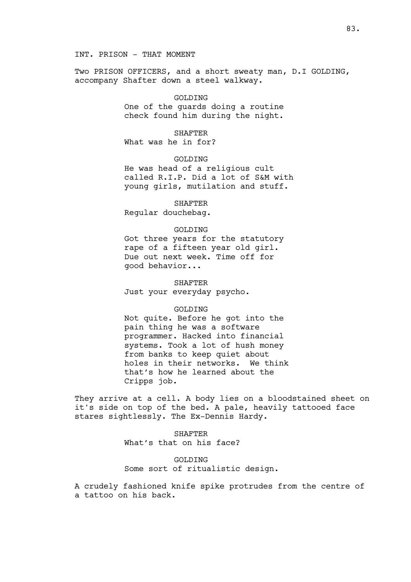#### INT. PRISON - THAT MOMENT

Two PRISON OFFICERS, and a short sweaty man, D.I GOLDING, accompany Shafter down a steel walkway.

#### GOLDING

One of the guards doing a routine check found him during the night.

## SHAFTER

What was he in for?

GOLDING

He was head of a religious cult called R.I.P. Did a lot of S&M with young girls, mutilation and stuff.

**SHAFTER** 

Regular douchebag.

### GOLDING

Got three years for the statutory rape of a fifteen year old girl. Due out next week. Time off for good behavior...

SHAFTER Just your everyday psycho.

## GOLDING

Not quite. Before he got into the pain thing he was a software programmer. Hacked into financial systems. Took a lot of hush money from banks to keep quiet about holes in their networks. We think that's how he learned about the Cripps job.

They arrive at a cell. A body lies on a bloodstained sheet on it's side on top of the bed. A pale, heavily tattooed face stares sightlessly. The Ex-Dennis Hardy.

# SHAFTER What's that on his face?

# GOLDTNG Some sort of ritualistic design.

A crudely fashioned knife spike protrudes from the centre of a tattoo on his back.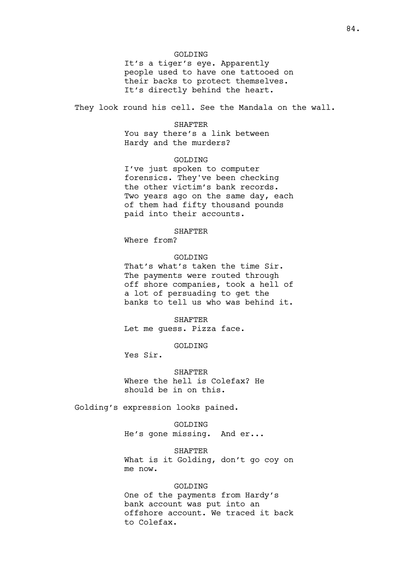### GOLDING

It's a tiger's eye. Apparently people used to have one tattooed on their backs to protect themselves. It's directly behind the heart.

They look round his cell. See the Mandala on the wall.

#### **SHAFTER**

You say there's a link between Hardy and the murders?

### GOLDING

I've just spoken to computer forensics. They've been checking the other victim's bank records. Two years ago on the same day, each of them had fifty thousand pounds paid into their accounts.

# SHAFTER

Where from?

## GOLDING

That's what's taken the time Sir. The payments were routed through off shore companies, took a hell of a lot of persuading to get the banks to tell us who was behind it.

SHAFTER Let me guess. Pizza face.

GOLDING

Yes Sir.

SHAFTER Where the hell is Colefax? He should be in on this.

Golding's expression looks pained.

GOLDING He's gone missing. And er...

SHAFTER What is it Golding, don't go coy on me now.

### GOLDING

One of the payments from Hardy's bank account was put into an offshore account. We traced it back to Colefax.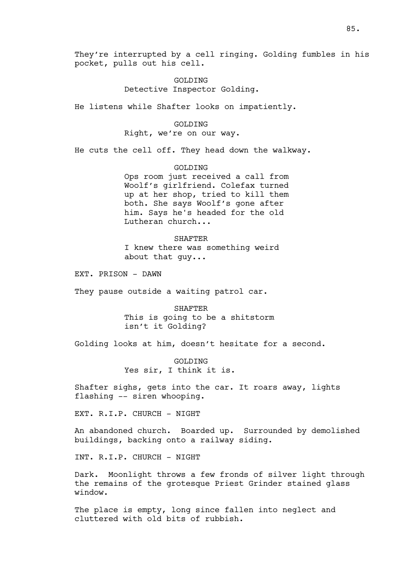They're interrupted by a cell ringing. Golding fumbles in his pocket, pulls out his cell.

# GOLDING Detective Inspector Golding.

He listens while Shafter looks on impatiently.

## GOLDING

# Right, we're on our way.

He cuts the cell off. They head down the walkway.

### GOLDING

Ops room just received a call from Woolf's girlfriend. Colefax turned up at her shop, tried to kill them both. She says Woolf's gone after him. Says he's headed for the old Lutheran church...

#### SHAFTER

I knew there was something weird about that guy...

EXT. PRISON - DAWN

They pause outside a waiting patrol car.

SHAFTER This is going to be a shitstorm isn't it Golding?

Golding looks at him, doesn't hesitate for a second.

GOLDING Yes sir, I think it is.

Shafter sighs, gets into the car. It roars away, lights flashing -- siren whooping.

EXT. R.I.P. CHURCH - NIGHT

An abandoned church. Boarded up. Surrounded by demolished buildings, backing onto a railway siding.

INT. R.I.P. CHURCH - NIGHT

Dark. Moonlight throws a few fronds of silver light through the remains of the grotesque Priest Grinder stained glass window.

The place is empty, long since fallen into neglect and cluttered with old bits of rubbish.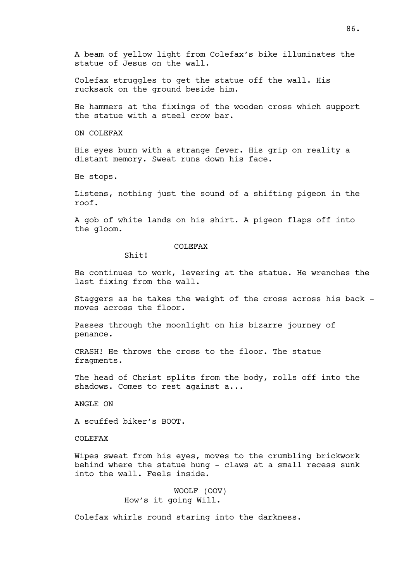A beam of yellow light from Colefax's bike illuminates the statue of Jesus on the wall.

Colefax struggles to get the statue off the wall. His rucksack on the ground beside him.

He hammers at the fixings of the wooden cross which support the statue with a steel crow bar.

ON COLEFAX

His eyes burn with a strange fever. His grip on reality a distant memory. Sweat runs down his face.

He stops.

Listens, nothing just the sound of a shifting pigeon in the roof.

A gob of white lands on his shirt. A pigeon flaps off into the gloom.

### COLEFAX

 $Shit!$ 

He continues to work, levering at the statue. He wrenches the last fixing from the wall.

Staggers as he takes the weight of the cross across his back moves across the floor.

Passes through the moonlight on his bizarre journey of penance.

CRASH! He throws the cross to the floor. The statue fragments.

The head of Christ splits from the body, rolls off into the shadows. Comes to rest against a...

ANGLE ON

A scuffed biker's BOOT.

COLEFAX

Wipes sweat from his eyes, moves to the crumbling brickwork behind where the statue hung - claws at a small recess sunk into the wall. Feels inside.

> WOOLF (OOV) How's it going Will.

Colefax whirls round staring into the darkness.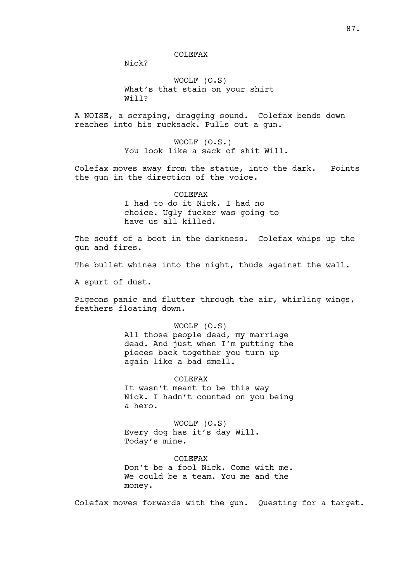#### COLEFAX

Nick?

WOOLF (O.S) What's that stain on your shirt Will?

A NOISE, a scraping, dragging sound. Colefax bends down reaches into his rucksack. Pulls out a gun.

> WOOLF (O.S.) You look like a sack of shit Will.

Colefax moves away from the statue, into the dark. Points the gun in the direction of the voice.

### COLEFAX

I had to do it Nick. I had no choice. Ugly fucker was going to have us all killed.

The scuff of a boot in the darkness. Colefax whips up the gun and fires.

The bullet whines into the night, thuds against the wall.

A spurt of dust.

Pigeons panic and flutter through the air, whirling wings, feathers floating down.

> WOOLF (O.S) All those people dead, my marriage dead. And just when I'm putting the pieces back together you turn up again like a bad smell.

> COLEFAX It wasn't meant to be this way Nick. I hadn't counted on you being a hero.

WOOLF (O.S) Every dog has it's day Will. Today's mine.

COLEFAX Don't be a fool Nick. Come with me. We could be a team. You me and the money.

Colefax moves forwards with the gun. Questing for a target.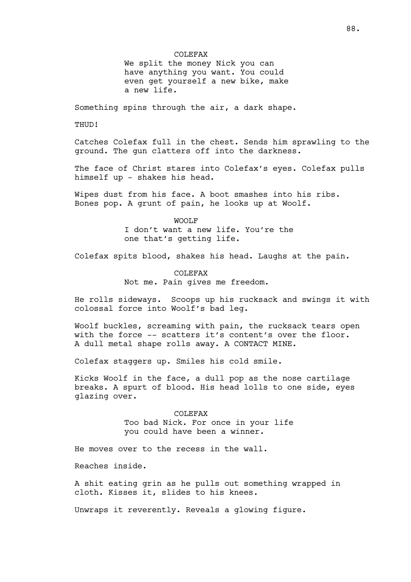We split the money Nick you can have anything you want. You could even get yourself a new bike, make a new life.

Something spins through the air, a dark shape.

THUD!

Catches Colefax full in the chest. Sends him sprawling to the ground. The gun clatters off into the darkness.

The face of Christ stares into Colefax's eyes. Colefax pulls himself up - shakes his head.

Wipes dust from his face. A boot smashes into his ribs. Bones pop. A grunt of pain, he looks up at Woolf.

> WOOLF I don't want a new life. You're the one that's getting life.

Colefax spits blood, shakes his head. Laughs at the pain.

COLEFAX Not me. Pain gives me freedom.

He rolls sideways. Scoops up his rucksack and swings it with colossal force into Woolf's bad leg.

Woolf buckles, screaming with pain, the rucksack tears open with the force -- scatters it's content's over the floor. A dull metal shape rolls away. A CONTACT MINE.

Colefax staggers up. Smiles his cold smile.

Kicks Woolf in the face, a dull pop as the nose cartilage breaks. A spurt of blood. His head lolls to one side, eyes glazing over.

> COLEFAX Too bad Nick. For once in your life you could have been a winner.

He moves over to the recess in the wall.

Reaches inside.

A shit eating grin as he pulls out something wrapped in cloth. Kisses it, slides to his knees.

Unwraps it reverently. Reveals a glowing figure.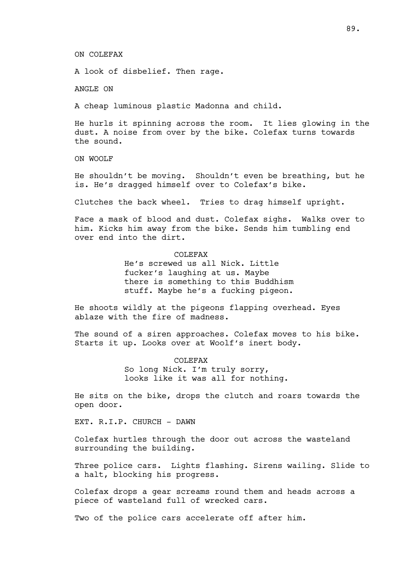ON COLEFAX

A look of disbelief. Then rage.

ANGLE ON

A cheap luminous plastic Madonna and child.

He hurls it spinning across the room. It lies glowing in the dust. A noise from over by the bike. Colefax turns towards the sound.

ON WOOLF

He shouldn't be moving. Shouldn't even be breathing, but he is. He's dragged himself over to Colefax's bike.

Clutches the back wheel. Tries to drag himself upright.

Face a mask of blood and dust. Colefax sighs. Walks over to him. Kicks him away from the bike. Sends him tumbling end over end into the dirt.

COLEFAX

He's screwed us all Nick. Little fucker's laughing at us. Maybe there is something to this Buddhism stuff. Maybe he's a fucking pigeon.

He shoots wildly at the pigeons flapping overhead. Eyes ablaze with the fire of madness.

The sound of a siren approaches. Colefax moves to his bike. Starts it up. Looks over at Woolf's inert body.

> COLEFAX So long Nick. I'm truly sorry, looks like it was all for nothing.

He sits on the bike, drops the clutch and roars towards the open door.

EXT. R.I.P. CHURCH - DAWN

Colefax hurtles through the door out across the wasteland surrounding the building.

Three police cars. Lights flashing. Sirens wailing. Slide to a halt, blocking his progress.

Colefax drops a gear screams round them and heads across a piece of wasteland full of wrecked cars.

Two of the police cars accelerate off after him.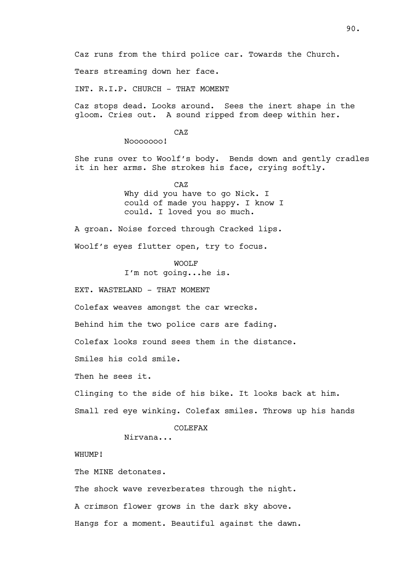Tears streaming down her face.

INT. R.I.P. CHURCH - THAT MOMENT

Caz stops dead. Looks around. Sees the inert shape in the gloom. Cries out. A sound ripped from deep within her.

CAZ

Nooooooo!

She runs over to Woolf's body. Bends down and gently cradles it in her arms. She strokes his face, crying softly.

> CAZ Why did you have to go Nick. I could of made you happy. I know I could. I loved you so much.

A groan. Noise forced through Cracked lips.

Woolf's eyes flutter open, try to focus.

WOOLF

I'm not going...he is.

EXT. WASTELAND - THAT MOMENT

Colefax weaves amongst the car wrecks.

Behind him the two police cars are fading.

Colefax looks round sees them in the distance.

Smiles his cold smile.

Then he sees it.

Clinging to the side of his bike. It looks back at him.

Small red eye winking. Colefax smiles. Throws up his hands

### COLEFAX

Nirvana...

WHUMP!

The MINE detonates.

The shock wave reverberates through the night.

A crimson flower grows in the dark sky above.

Hangs for a moment. Beautiful against the dawn.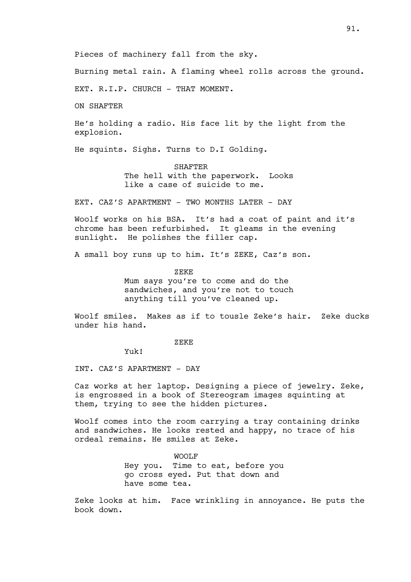Pieces of machinery fall from the sky.

Burning metal rain. A flaming wheel rolls across the ground.

EXT. R.I.P. CHURCH - THAT MOMENT.

ON SHAFTER

He's holding a radio. His face lit by the light from the explosion.

He squints. Sighs. Turns to D.I Golding.

SHAFTER The hell with the paperwork. Looks like a case of suicide to me.

EXT. CAZ'S APARTMENT - TWO MONTHS LATER - DAY

Woolf works on his BSA. It's had a coat of paint and it's chrome has been refurbished. It gleams in the evening sunlight. He polishes the filler cap.

A small boy runs up to him. It's ZEKE, Caz's son.

ZEKE Mum says you're to come and do the sandwiches, and you're not to touch anything till you've cleaned up.

Woolf smiles. Makes as if to tousle Zeke's hair. Zeke ducks under his hand.

ZEKE

Yuk!

INT. CAZ'S APARTMENT - DAY

Caz works at her laptop. Designing a piece of jewelry. Zeke, is engrossed in a book of Stereogram images squinting at them, trying to see the hidden pictures.

Woolf comes into the room carrying a tray containing drinks and sandwiches. He looks rested and happy, no trace of his ordeal remains. He smiles at Zeke.

> WOOLF Hey you. Time to eat, before you go cross eyed. Put that down and have some tea.

Zeke looks at him. Face wrinkling in annoyance. He puts the book down.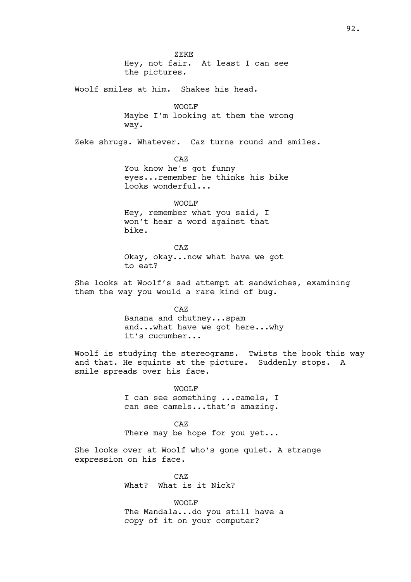ZEKE Hey, not fair. At least I can see the pictures. Woolf smiles at him. Shakes his head. WOOLF Maybe I'm looking at them the wrong way. Zeke shrugs. Whatever. Caz turns round and smiles. CAZ You know he's got funny eyes...remember he thinks his bike looks wonderful... WOOLF Hey, remember what you said, I won't hear a word against that bike. CAZ Okay, okay...now what have we got to eat? She looks at Woolf's sad attempt at sandwiches, examining them the way you would a rare kind of bug. CAZ Banana and chutney...spam and...what have we got here...why it's cucumber... Woolf is studying the stereograms. Twists the book this way and that. He squints at the picture. Suddenly stops. A smile spreads over his face. WOOLF I can see something ...camels, I can see camels...that's amazing. CAZ There may be hope for you yet... She looks over at Woolf who's gone quiet. A strange expression on his face.  $C\bar{D}Z$ What? What is it Nick? WOOLF

The Mandala...do you still have a

copy of it on your computer?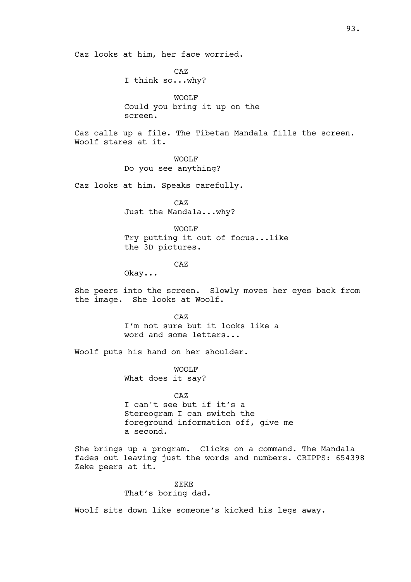Caz looks at him, her face worried.

CAZ I think so...why?

WOOLF Could you bring it up on the screen.

Caz calls up a file. The Tibetan Mandala fills the screen. Woolf stares at it.

> WOOLF Do you see anything?

Caz looks at him. Speaks carefully.

CAZ Just the Mandala...why?

WOOLF Try putting it out of focus...like the 3D pictures.

CAZ

Okay...

She peers into the screen. Slowly moves her eyes back from the image. She looks at Woolf.

> CAZ I'm not sure but it looks like a word and some letters...

Woolf puts his hand on her shoulder.

WOOLF What does it say?

CAZ

I can't see but if it's a Stereogram I can switch the foreground information off, give me a second.

She brings up a program. Clicks on a command. The Mandala fades out leaving just the words and numbers. CRIPPS: 654398 Zeke peers at it.

> ZEKE That's boring dad.

Woolf sits down like someone's kicked his legs away.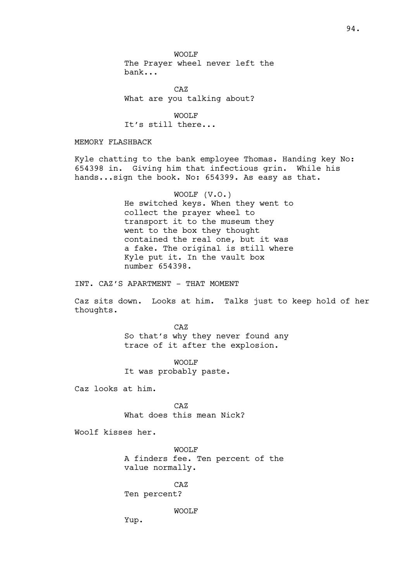WOOLF The Prayer wheel never left the bank...

CAZ What are you talking about?

WOOLF It's still there...

MEMORY FLASHBACK

Kyle chatting to the bank employee Thomas. Handing key No: 654398 in. Giving him that infectious grin. While his hands...sign the book. No: 654399. As easy as that.

> WOOLF (V.O.) He switched keys. When they went to collect the prayer wheel to transport it to the museum they went to the box they thought contained the real one, but it was a fake. The original is still where Kyle put it. In the vault box number 654398.

INT. CAZ'S APARTMENT - THAT MOMENT

Caz sits down. Looks at him. Talks just to keep hold of her thoughts.

> CAZ So that's why they never found any trace of it after the explosion.

WOOLF It was probably paste.

Caz looks at him.

CAZ What does this mean Nick?

Woolf kisses her.

WOOLF A finders fee. Ten percent of the value normally.

CAZ Ten percent?

WOOLF

Yup.